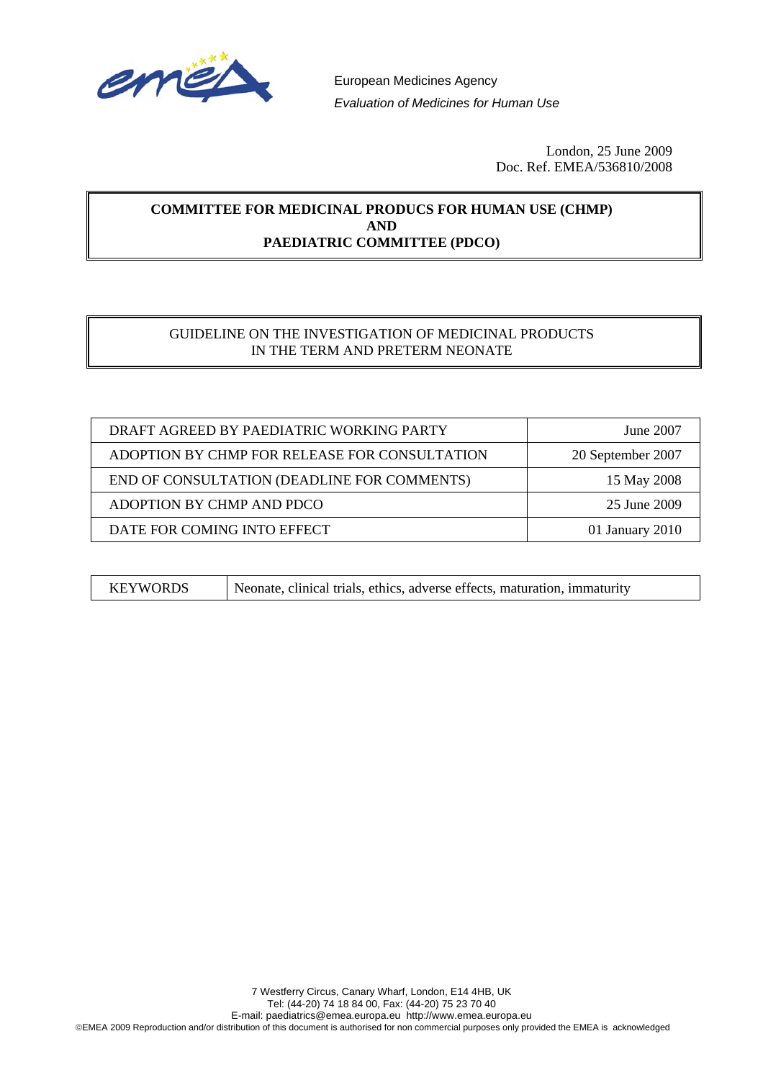

European Medicines Agency *Evaluation of Medicines for Human Use* 

> London, 25 June 2009 Doc. Ref. EMEA/536810/2008

#### **COMMITTEE FOR MEDICINAL PRODUCS FOR HUMAN USE (CHMP) AND PAEDIATRIC COMMITTEE (PDCO)**

#### GUIDELINE ON THE INVESTIGATION OF MEDICINAL PRODUCTS IN THE TERM AND PRETERM NEONATE

| DRAFT AGREED BY PAEDIATRIC WORKING PARTY      | June 2007         |  |
|-----------------------------------------------|-------------------|--|
| ADOPTION BY CHMP FOR RELEASE FOR CONSULTATION | 20 September 2007 |  |
| END OF CONSULTATION (DEADLINE FOR COMMENTS)   | 15 May 2008       |  |
| ADOPTION BY CHMP AND PDCO                     | 25 June 2009      |  |
| DATE FOR COMING INTO EFFECT                   | 01 January 2010   |  |

KEYWORDS Neonate, clinical trials, ethics, adverse effects, maturation, immaturity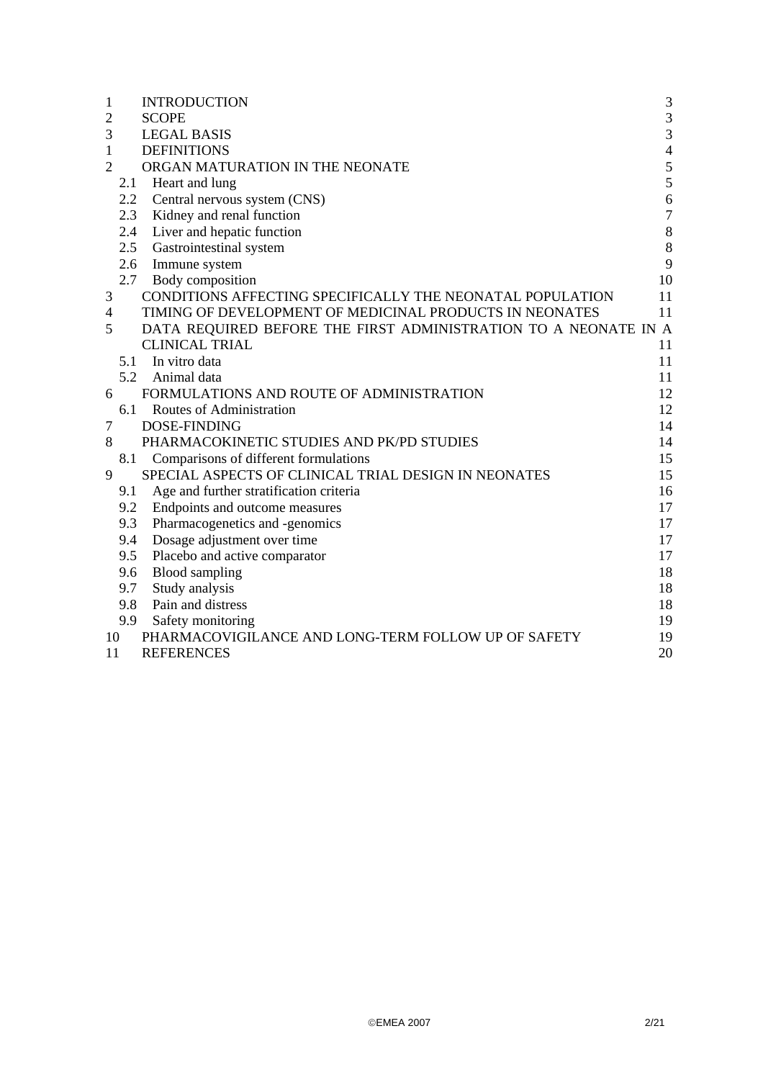| 1              |     | <b>INTRODUCTION</b>                                             | $\mathfrak{Z}$ |
|----------------|-----|-----------------------------------------------------------------|----------------|
| $\overline{2}$ |     | <b>SCOPE</b>                                                    | $\mathfrak{Z}$ |
| 3              |     | <b>LEGAL BASIS</b>                                              | $\overline{3}$ |
| $\mathbf{1}$   |     | <b>DEFINITIONS</b>                                              | $\overline{4}$ |
| $\overline{2}$ |     | ORGAN MATURATION IN THE NEONATE                                 | 5              |
|                | 2.1 | Heart and lung                                                  | 5              |
|                | 2.2 | Central nervous system (CNS)                                    | 6              |
|                | 2.3 | Kidney and renal function                                       | $\overline{7}$ |
|                | 2.4 | Liver and hepatic function                                      | $\,8\,$        |
|                | 2.5 | Gastrointestinal system                                         | $8\,$          |
|                | 2.6 | Immune system                                                   | 9              |
|                | 2.7 | Body composition                                                | 10             |
| 3              |     | CONDITIONS AFFECTING SPECIFICALLY THE NEONATAL POPULATION       | 11             |
| 4              |     | TIMING OF DEVELOPMENT OF MEDICINAL PRODUCTS IN NEONATES         | 11             |
| 5              |     | DATA REQUIRED BEFORE THE FIRST ADMINISTRATION TO A NEONATE IN A |                |
|                |     | <b>CLINICAL TRIAL</b>                                           | 11             |
|                |     | 5.1 In vitro data                                               | 11             |
|                | 5.2 | Animal data                                                     | 11             |
| 6              |     | FORMULATIONS AND ROUTE OF ADMINISTRATION                        | 12             |
|                | 6.1 | Routes of Administration                                        | 12             |
| 7              |     | <b>DOSE-FINDING</b>                                             | 14             |
| 8              |     | PHARMACOKINETIC STUDIES AND PK/PD STUDIES                       | 14             |
|                | 8.1 | Comparisons of different formulations                           | 15             |
| 9              |     | SPECIAL ASPECTS OF CLINICAL TRIAL DESIGN IN NEONATES            | 15             |
|                | 9.1 | Age and further stratification criteria                         | 16             |
|                | 9.2 | Endpoints and outcome measures                                  | 17             |
|                | 9.3 | Pharmacogenetics and -genomics                                  | 17             |
|                | 9.4 | Dosage adjustment over time                                     | 17             |
|                | 9.5 | Placebo and active comparator                                   | 17             |
|                | 9.6 | <b>Blood</b> sampling                                           | 18             |
|                | 9.7 | Study analysis                                                  | 18             |
|                | 9.8 | Pain and distress                                               | 18             |
|                | 9.9 | Safety monitoring                                               | 19             |
| 10             |     | PHARMACOVIGILANCE AND LONG-TERM FOLLOW UP OF SAFETY             | 19             |
| 11             |     | <b>REFERENCES</b>                                               | 20             |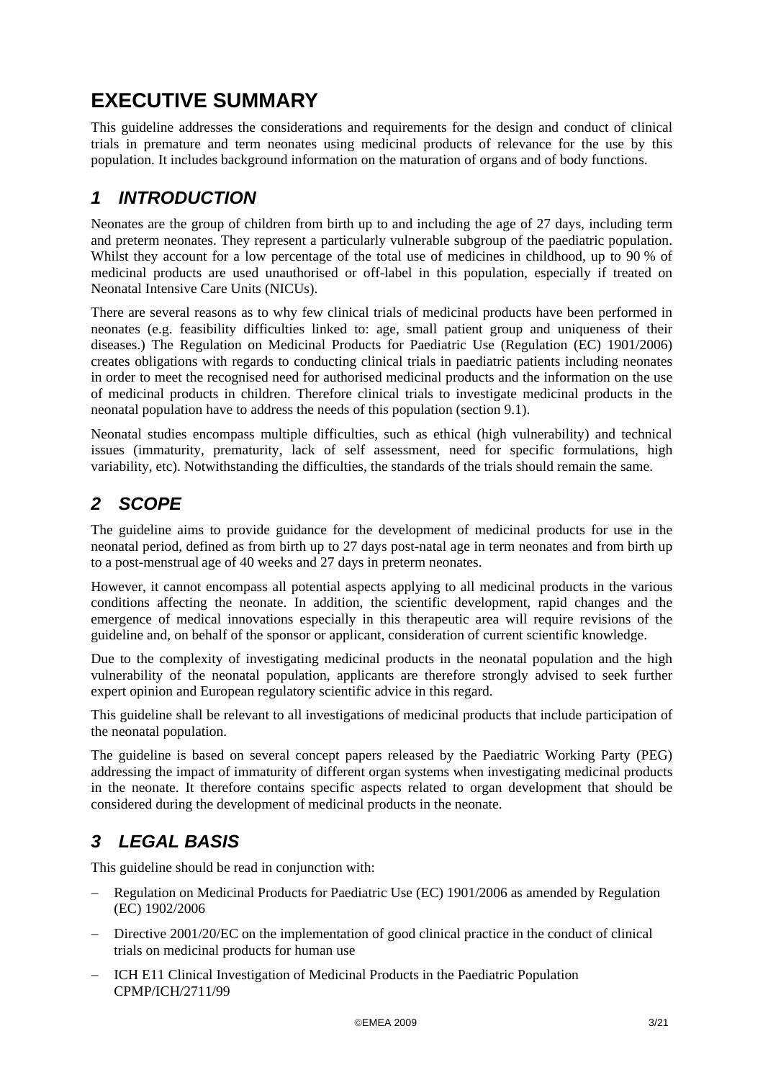# <span id="page-2-0"></span>**EXECUTIVE SUMMARY**

This guideline addresses the considerations and requirements for the design and conduct of clinical trials in premature and term neonates using medicinal products of relevance for the use by this population. It includes background information on the maturation of organs and of body functions.

## *1 INTRODUCTION*

Neonates are the group of children from birth up to and including the age of 27 days, including term and preterm neonates. They represent a particularly vulnerable subgroup of the paediatric population. Whilst they account for a low percentage of the total use of medicines in childhood, up to 90 % of medicinal products are used unauthorised or off-label in this population, especially if treated on Neonatal Intensive Care Units (NICUs).

There are several reasons as to why few clinical trials of medicinal products have been performed in neonates (e.g. feasibility difficulties linked to: age, small patient group and uniqueness of their diseases.) The Regulation on Medicinal Products for Paediatric Use (Regulation (EC) 1901/2006) creates obligations with regards to conducting clinical trials in paediatric patients including neonates in order to meet the recognised need for authorised medicinal products and the information on the use of medicinal products in children. Therefore clinical trials to investigate medicinal products in the neonatal population have to address the needs of this population (section [9.1\)](#page-15-1).

Neonatal studies encompass multiple difficulties, such as ethical (high vulnerability) and technical issues (immaturity, prematurity, lack of self assessment, need for specific formulations, high variability, etc). Notwithstanding the difficulties, the standards of the trials should remain the same.

## *2 SCOPE*

The guideline aims to provide guidance for the development of medicinal products for use in the neonatal period, defined as from birth up to 27 days post-natal age in term neonates and from birth up to a post-menstrual age of 40 weeks and 27 days in preterm neonates.

However, it cannot encompass all potential aspects applying to all medicinal products in the various conditions affecting the neonate. In addition, the scientific development, rapid changes and the emergence of medical innovations especially in this therapeutic area will require revisions of the guideline and, on behalf of the sponsor or applicant, consideration of current scientific knowledge.

Due to the complexity of investigating medicinal products in the neonatal population and the high vulnerability of the neonatal population, applicants are therefore strongly advised to seek further expert opinion and European regulatory scientific advice in this regard.

This guideline shall be relevant to all investigations of medicinal products that include participation of the neonatal population.

The guideline is based on several concept papers released by the Paediatric Working Party (PEG) addressing the impact of immaturity of different organ systems when investigating medicinal products in the neonate. It therefore contains specific aspects related to organ development that should be considered during the development of medicinal products in the neonate.

## *3 LEGAL BASIS*

This guideline should be read in conjunction with:

- − Regulation on Medicinal Products for Paediatric Use (EC) 1901/2006 as amended by Regulation (EC) 1902/2006
- − Directive 2001/20/EC on the implementation of good clinical practice in the conduct of clinical trials on medicinal products for human use
- − ICH E11 Clinical Investigation of Medicinal Products in the Paediatric Population CPMP/ICH/2711/99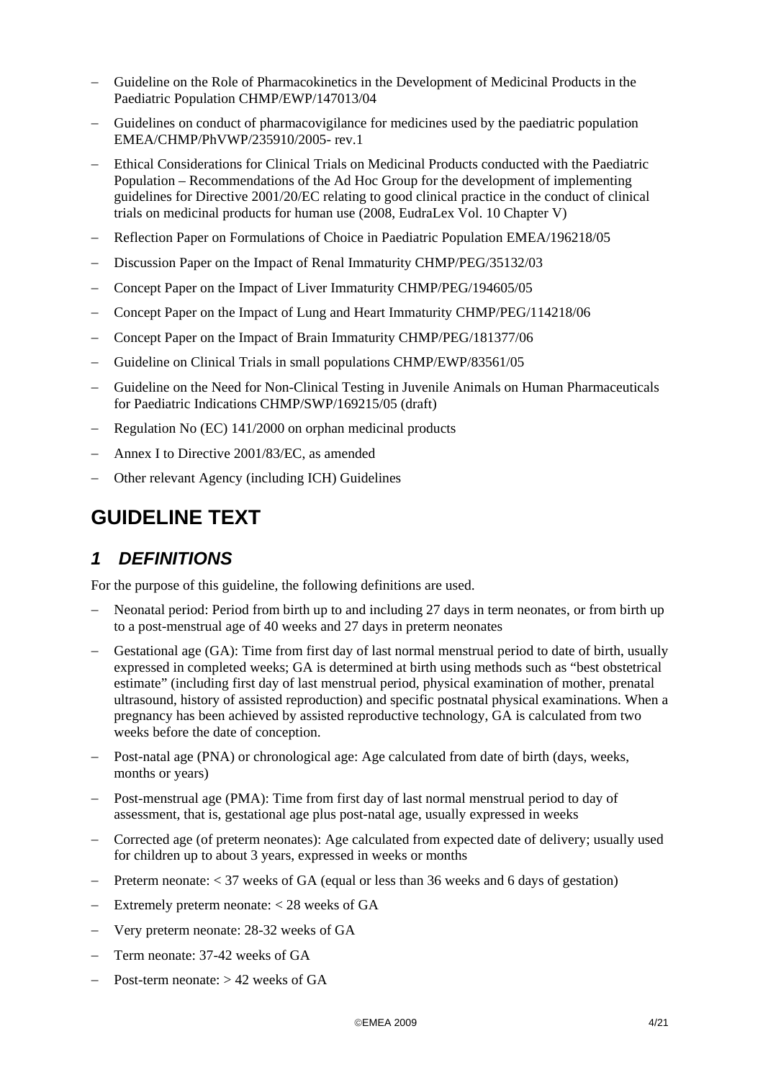- <span id="page-3-0"></span>− Guideline on the Role of Pharmacokinetics in the Development of Medicinal Products in the Paediatric Population CHMP/EWP/147013/04
- − Guidelines on conduct of pharmacovigilance for medicines used by the paediatric population EMEA/CHMP/PhVWP/235910/2005- rev.1
- Ethical Considerations for Clinical Trials on Medicinal Products conducted with the Paediatric Population – Recommendations of the Ad Hoc Group for the development of implementing guidelines for Directive 2001/20/EC relating to good clinical practice in the conduct of clinical trials on medicinal products for human use (2008, EudraLex Vol. 10 Chapter V)
- − Reflection Paper on Formulations of Choice in Paediatric Population EMEA/196218/05
- Discussion Paper on the Impact of Renal Immaturity CHMP/PEG/35132/03
- − Concept Paper on the Impact of Liver Immaturity CHMP/PEG/194605/05
- − Concept Paper on the Impact of Lung and Heart Immaturity CHMP/PEG/114218/06
- − Concept Paper on the Impact of Brain Immaturity CHMP/PEG/181377/06
- − Guideline on Clinical Trials in small populations CHMP/EWP/83561/05
- Guideline on the Need for Non-Clinical Testing in Juvenile Animals on Human Pharmaceuticals for Paediatric Indications CHMP/SWP/169215/05 (draft)
- − Regulation No (EC) 141/2000 on orphan medicinal products
- − Annex I to Directive 2001/83/EC, as amended
- − Other relevant Agency (including ICH) Guidelines

## **GUIDELINE TEXT**

### *1 DEFINITIONS*

For the purpose of this guideline, the following definitions are used.

- Neonatal period: Period from birth up to and including 27 days in term neonates, or from birth up to a post-menstrual age of 40 weeks and 27 days in preterm neonates
- Gestational age (GA): Time from first day of last normal menstrual period to date of birth, usually expressed in completed weeks; GA is determined at birth using methods such as "best obstetrical estimate" (including first day of last menstrual period, physical examination of mother, prenatal ultrasound, history of assisted reproduction) and specific postnatal physical examinations. When a pregnancy has been achieved by assisted reproductive technology, GA is calculated from two weeks before the date of conception.
- Post-natal age (PNA) or chronological age: Age calculated from date of birth (days, weeks, months or years)
- − Post-menstrual age (PMA): Time from first day of last normal menstrual period to day of assessment, that is, gestational age plus post-natal age, usually expressed in weeks
- − Corrected age (of preterm neonates): Age calculated from expected date of delivery; usually used for children up to about 3 years, expressed in weeks or months
- − Preterm neonate: < 37 weeks of GA (equal or less than 36 weeks and 6 days of gestation)
- Extremely preterm neonate:  $<$  28 weeks of GA
- − Very preterm neonate: 28-32 weeks of GA
- − Term neonate: 37-42 weeks of GA
- − Post-term neonate: > 42 weeks of GA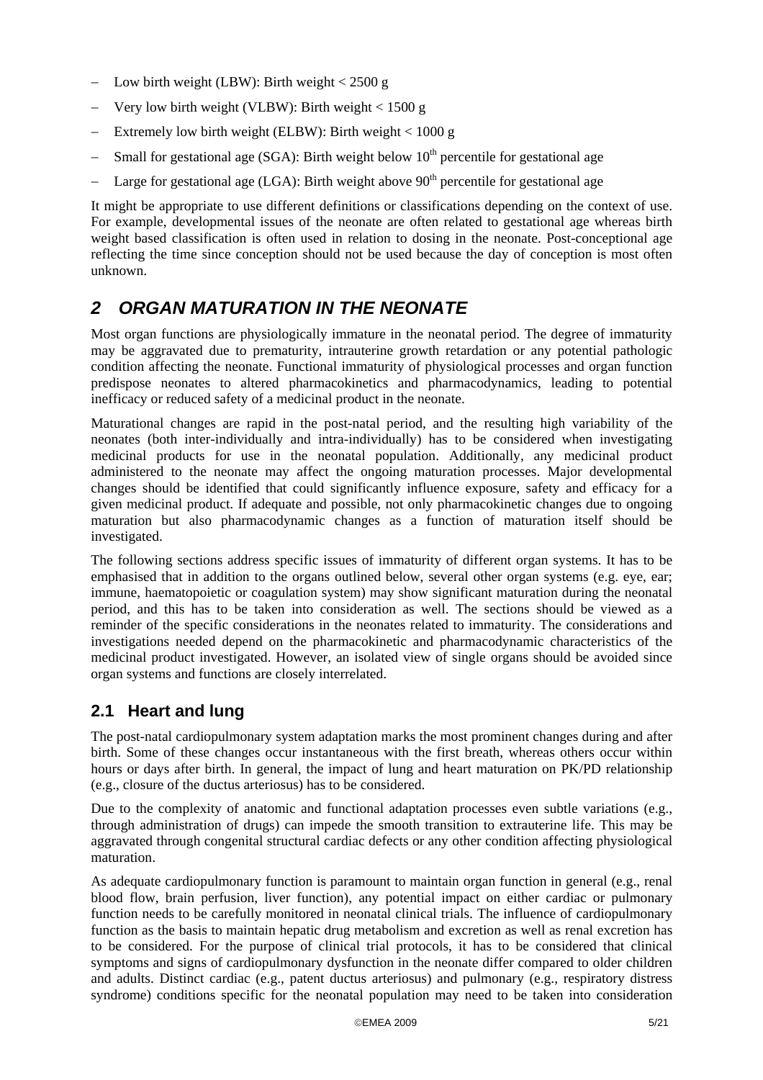- <span id="page-4-0"></span>Low birth weight (LBW): Birth weight <  $2500 g$
- Very low birth weight (VLBW): Birth weight <  $1500 g$
- − Extremely low birth weight (ELBW): Birth weight < 1000 g
- Small for gestational age (SGA): Birth weight below  $10<sup>th</sup>$  percentile for gestational age
- Large for gestational age (LGA): Birth weight above  $90<sup>th</sup>$  percentile for gestational age

It might be appropriate to use different definitions or classifications depending on the context of use. For example, developmental issues of the neonate are often related to gestational age whereas birth weight based classification is often used in relation to dosing in the neonate. Post-conceptional age reflecting the time since conception should not be used because the day of conception is most often unknown.

## *2 ORGAN MATURATION IN THE NEONATE*

Most organ functions are physiologically immature in the neonatal period. The degree of immaturity may be aggravated due to prematurity, intrauterine growth retardation or any potential pathologic condition affecting the neonate. Functional immaturity of physiological processes and organ function predispose neonates to altered pharmacokinetics and pharmacodynamics, leading to potential inefficacy or reduced safety of a medicinal product in the neonate.

Maturational changes are rapid in the post-natal period, and the resulting high variability of the neonates (both inter-individually and intra-individually) has to be considered when investigating medicinal products for use in the neonatal population. Additionally, any medicinal product administered to the neonate may affect the ongoing maturation processes. Major developmental changes should be identified that could significantly influence exposure, safety and efficacy for a given medicinal product. If adequate and possible, not only pharmacokinetic changes due to ongoing maturation but also pharmacodynamic changes as a function of maturation itself should be investigated.

The following sections address specific issues of immaturity of different organ systems. It has to be emphasised that in addition to the organs outlined below, several other organ systems (e.g. eye, ear; immune, haematopoietic or coagulation system) may show significant maturation during the neonatal period, and this has to be taken into consideration as well. The sections should be viewed as a reminder of the specific considerations in the neonates related to immaturity. The considerations and investigations needed depend on the pharmacokinetic and pharmacodynamic characteristics of the medicinal product investigated. However, an isolated view of single organs should be avoided since organ systems and functions are closely interrelated.

#### **2.1 Heart and lung**

The post-natal cardiopulmonary system adaptation marks the most prominent changes during and after birth. Some of these changes occur instantaneous with the first breath, whereas others occur within hours or days after birth. In general, the impact of lung and heart maturation on PK/PD relationship (e.g., closure of the ductus arteriosus) has to be considered.

Due to the complexity of anatomic and functional adaptation processes even subtle variations (e.g., through administration of drugs) can impede the smooth transition to extrauterine life. This may be aggravated through congenital structural cardiac defects or any other condition affecting physiological maturation.

As adequate cardiopulmonary function is paramount to maintain organ function in general (e.g., renal blood flow, brain perfusion, liver function), any potential impact on either cardiac or pulmonary function needs to be carefully monitored in neonatal clinical trials. The influence of cardiopulmonary function as the basis to maintain hepatic drug metabolism and excretion as well as renal excretion has to be considered. For the purpose of clinical trial protocols, it has to be considered that clinical symptoms and signs of cardiopulmonary dysfunction in the neonate differ compared to older children and adults. Distinct cardiac (e.g., patent ductus arteriosus) and pulmonary (e.g., respiratory distress syndrome) conditions specific for the neonatal population may need to be taken into consideration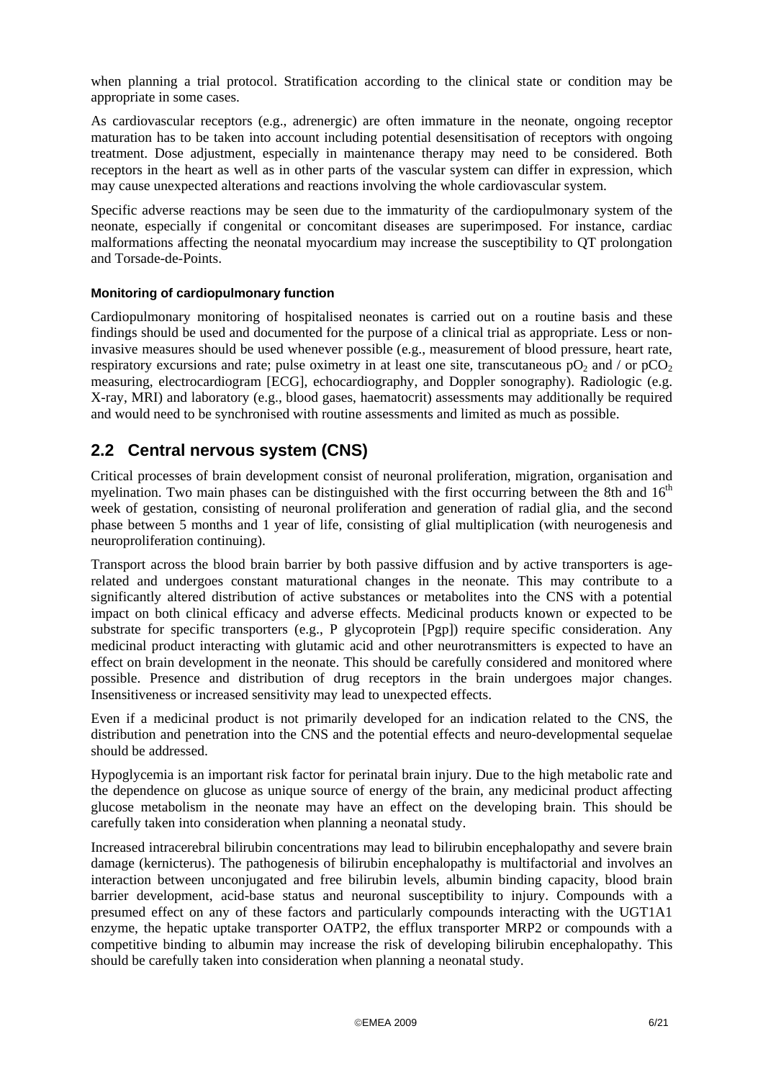<span id="page-5-0"></span>when planning a trial protocol. Stratification according to the clinical state or condition may be appropriate in some cases.

As cardiovascular receptors (e.g., adrenergic) are often immature in the neonate, ongoing receptor maturation has to be taken into account including potential desensitisation of receptors with ongoing treatment. Dose adjustment, especially in maintenance therapy may need to be considered. Both receptors in the heart as well as in other parts of the vascular system can differ in expression, which may cause unexpected alterations and reactions involving the whole cardiovascular system.

Specific adverse reactions may be seen due to the immaturity of the cardiopulmonary system of the neonate, especially if congenital or concomitant diseases are superimposed. For instance, cardiac malformations affecting the neonatal myocardium may increase the susceptibility to QT prolongation and Torsade-de-Points.

#### **Monitoring of cardiopulmonary function**

Cardiopulmonary monitoring of hospitalised neonates is carried out on a routine basis and these findings should be used and documented for the purpose of a clinical trial as appropriate. Less or noninvasive measures should be used whenever possible (e.g., measurement of blood pressure, heart rate, respiratory excursions and rate; pulse oximetry in at least one site, transcutaneous  $pO_2$  and / or  $pCO_2$ measuring, electrocardiogram [ECG], echocardiography, and Doppler sonography). Radiologic (e.g. X-ray, MRI) and laboratory (e.g., blood gases, haematocrit) assessments may additionally be required and would need to be synchronised with routine assessments and limited as much as possible.

#### **2.2 Central nervous system (CNS)**

Critical processes of brain development consist of neuronal proliferation, migration, organisation and myelination. Two main phases can be distinguished with the first occurring between the 8th and  $16<sup>th</sup>$ week of gestation, consisting of neuronal proliferation and generation of radial glia, and the second phase between 5 months and 1 year of life, consisting of glial multiplication (with neurogenesis and neuroproliferation continuing).

Transport across the blood brain barrier by both passive diffusion and by active transporters is agerelated and undergoes constant maturational changes in the neonate. This may contribute to a significantly altered distribution of active substances or metabolites into the CNS with a potential impact on both clinical efficacy and adverse effects. Medicinal products known or expected to be substrate for specific transporters (e.g., P glycoprotein [Pgp]) require specific consideration. Any medicinal product interacting with glutamic acid and other neurotransmitters is expected to have an effect on brain development in the neonate. This should be carefully considered and monitored where possible. Presence and distribution of drug receptors in the brain undergoes major changes. Insensitiveness or increased sensitivity may lead to unexpected effects.

Even if a medicinal product is not primarily developed for an indication related to the CNS, the distribution and penetration into the CNS and the potential effects and neuro-developmental sequelae should be addressed.

Hypoglycemia is an important risk factor for perinatal brain injury. Due to the high metabolic rate and the dependence on glucose as unique source of energy of the brain, any medicinal product affecting glucose metabolism in the neonate may have an effect on the developing brain. This should be carefully taken into consideration when planning a neonatal study.

Increased intracerebral bilirubin concentrations may lead to bilirubin encephalopathy and severe brain damage (kernicterus). The pathogenesis of bilirubin encephalopathy is multifactorial and involves an interaction between unconjugated and free bilirubin levels, albumin binding capacity, blood brain barrier development, acid-base status and neuronal susceptibility to injury. Compounds with a presumed effect on any of these factors and particularly compounds interacting with the UGT1A1 enzyme, the hepatic uptake transporter OATP2, the efflux transporter MRP2 or compounds with a competitive binding to albumin may increase the risk of developing bilirubin encephalopathy. This should be carefully taken into consideration when planning a neonatal study.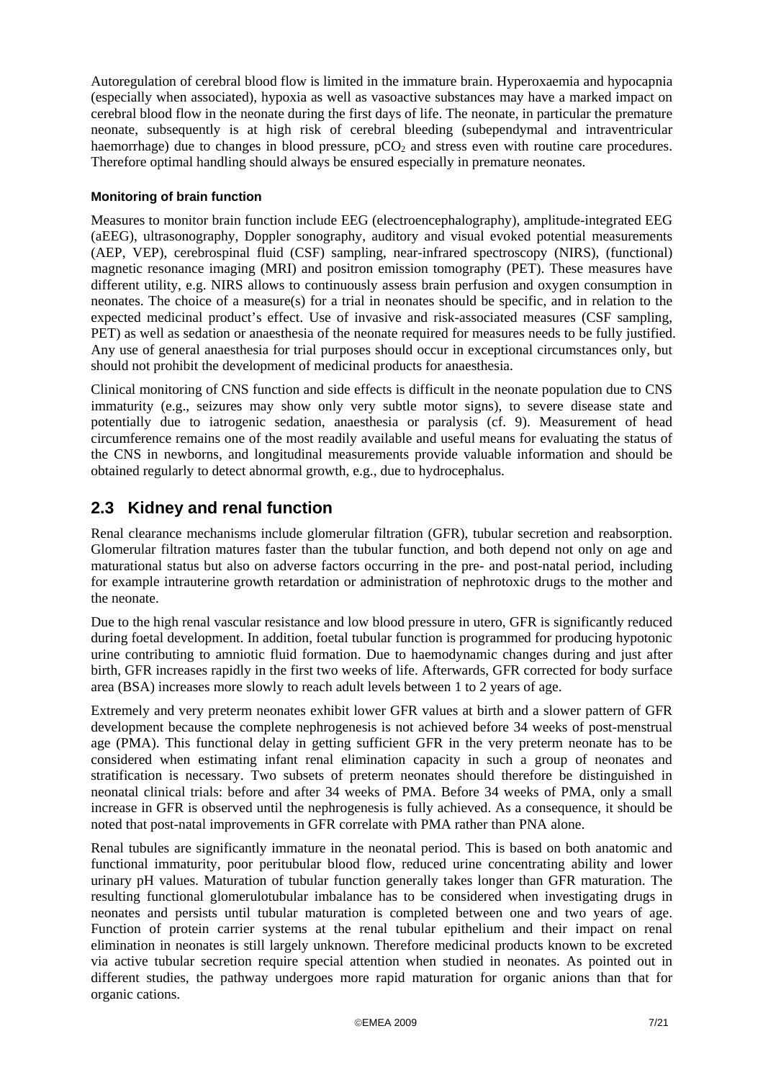<span id="page-6-0"></span>Autoregulation of cerebral blood flow is limited in the immature brain. Hyperoxaemia and hypocapnia (especially when associated), hypoxia as well as vasoactive substances may have a marked impact on cerebral blood flow in the neonate during the first days of life. The neonate, in particular the premature neonate, subsequently is at high risk of cerebral bleeding (subependymal and intraventricular haemorrhage) due to changes in blood pressure,  $pCO<sub>2</sub>$  and stress even with routine care procedures. Therefore optimal handling should always be ensured especially in premature neonates.

#### **Monitoring of brain function**

Measures to monitor brain function include EEG (electroencephalography), amplitude-integrated EEG (aEEG), ultrasonography, Doppler sonography, auditory and visual evoked potential measurements (AEP, VEP), cerebrospinal fluid (CSF) sampling, near-infrared spectroscopy (NIRS), (functional) magnetic resonance imaging (MRI) and positron emission tomography (PET). These measures have different utility, e.g. NIRS allows to continuously assess brain perfusion and oxygen consumption in neonates. The choice of a measure(s) for a trial in neonates should be specific, and in relation to the expected medicinal product's effect. Use of invasive and risk-associated measures (CSF sampling, PET) as well as sedation or anaesthesia of the neonate required for measures needs to be fully justified. Any use of general anaesthesia for trial purposes should occur in exceptional circumstances only, but should not prohibit the development of medicinal products for anaesthesia.

Clinical monitoring of CNS function and side effects is difficult in the neonate population due to CNS immaturity (e.g., seizures may show only very subtle motor signs), to severe disease state and potentially due to iatrogenic sedation, anaesthesia or paralysis (cf. [9](#page-14-1)). Measurement of head circumference remains one of the most readily available and useful means for evaluating the status of the CNS in newborns, and longitudinal measurements provide valuable information and should be obtained regularly to detect abnormal growth, e.g., due to hydrocephalus.

#### <span id="page-6-1"></span>**2.3 Kidney and renal function**

Renal clearance mechanisms include glomerular filtration (GFR), tubular secretion and reabsorption. Glomerular filtration matures faster than the tubular function, and both depend not only on age and maturational status but also on adverse factors occurring in the pre- and post-natal period, including for example intrauterine growth retardation or administration of nephrotoxic drugs to the mother and the neonate.

Due to the high renal vascular resistance and low blood pressure in utero, GFR is significantly reduced during foetal development. In addition, foetal tubular function is programmed for producing hypotonic urine contributing to amniotic fluid formation. Due to haemodynamic changes during and just after birth, GFR increases rapidly in the first two weeks of life. Afterwards, GFR corrected for body surface area (BSA) increases more slowly to reach adult levels between 1 to 2 years of age.

Extremely and very preterm neonates exhibit lower GFR values at birth and a slower pattern of GFR development because the complete nephrogenesis is not achieved before 34 weeks of post-menstrual age (PMA). This functional delay in getting sufficient GFR in the very preterm neonate has to be considered when estimating infant renal elimination capacity in such a group of neonates and stratification is necessary. Two subsets of preterm neonates should therefore be distinguished in neonatal clinical trials: before and after 34 weeks of PMA. Before 34 weeks of PMA, only a small increase in GFR is observed until the nephrogenesis is fully achieved. As a consequence, it should be noted that post-natal improvements in GFR correlate with PMA rather than PNA alone.

Renal tubules are significantly immature in the neonatal period. This is based on both anatomic and functional immaturity, poor peritubular blood flow, reduced urine concentrating ability and lower urinary pH values. Maturation of tubular function generally takes longer than GFR maturation. The resulting functional glomerulotubular imbalance has to be considered when investigating drugs in neonates and persists until tubular maturation is completed between one and two years of age. Function of protein carrier systems at the renal tubular epithelium and their impact on renal elimination in neonates is still largely unknown. Therefore medicinal products known to be excreted via active tubular secretion require special attention when studied in neonates. As pointed out in different studies, the pathway undergoes more rapid maturation for organic anions than that for organic cations.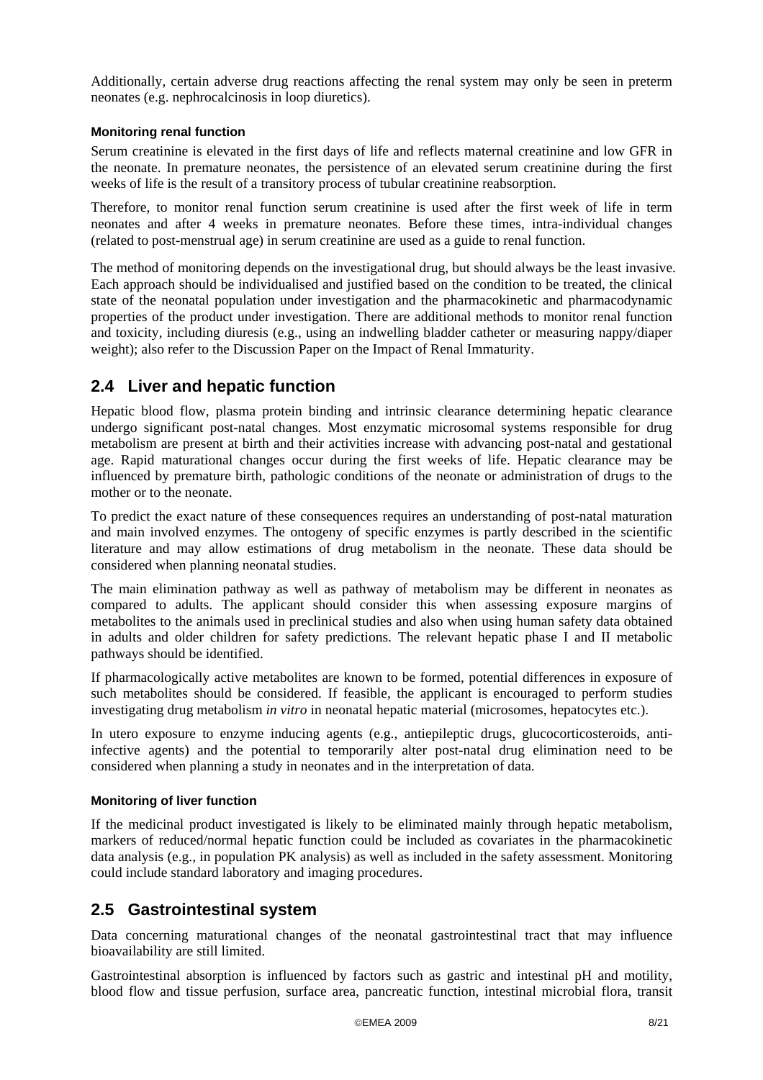<span id="page-7-0"></span>Additionally, certain adverse drug reactions affecting the renal system may only be seen in preterm neonates (e.g. nephrocalcinosis in loop diuretics).

#### **Monitoring renal function**

Serum creatinine is elevated in the first days of life and reflects maternal creatinine and low GFR in the neonate. In premature neonates, the persistence of an elevated serum creatinine during the first weeks of life is the result of a transitory process of tubular creatinine reabsorption.

Therefore, to monitor renal function serum creatinine is used after the first week of life in term neonates and after 4 weeks in premature neonates. Before these times, intra-individual changes (related to post-menstrual age) in serum creatinine are used as a guide to renal function.

The method of monitoring depends on the investigational drug, but should always be the least invasive. Each approach should be individualised and justified based on the condition to be treated, the clinical state of the neonatal population under investigation and the pharmacokinetic and pharmacodynamic properties of the product under investigation. There are additional methods to monitor renal function and toxicity, including diuresis (e.g., using an indwelling bladder catheter or measuring nappy/diaper weight); also refer to the Discussion Paper on the Impact of Renal Immaturity.

### **2.4 Liver and hepatic function**

Hepatic blood flow, plasma protein binding and intrinsic clearance determining hepatic clearance undergo significant post-natal changes. Most enzymatic microsomal systems responsible for drug metabolism are present at birth and their activities increase with advancing post-natal and gestational age. Rapid maturational changes occur during the first weeks of life. Hepatic clearance may be influenced by premature birth, pathologic conditions of the neonate or administration of drugs to the mother or to the neonate.

To predict the exact nature of these consequences requires an understanding of post-natal maturation and main involved enzymes. The ontogeny of specific enzymes is partly described in the scientific literature and may allow estimations of drug metabolism in the neonate. These data should be considered when planning neonatal studies.

The main elimination pathway as well as pathway of metabolism may be different in neonates as compared to adults. The applicant should consider this when assessing exposure margins of metabolites to the animals used in preclinical studies and also when using human safety data obtained in adults and older children for safety predictions. The relevant hepatic phase I and II metabolic pathways should be identified.

If pharmacologically active metabolites are known to be formed, potential differences in exposure of such metabolites should be considered. If feasible, the applicant is encouraged to perform studies investigating drug metabolism *in vitro* in neonatal hepatic material (microsomes, hepatocytes etc.).

In utero exposure to enzyme inducing agents (e.g., antiepileptic drugs, glucocorticosteroids, antiinfective agents) and the potential to temporarily alter post-natal drug elimination need to be considered when planning a study in neonates and in the interpretation of data.

#### **Monitoring of liver function**

If the medicinal product investigated is likely to be eliminated mainly through hepatic metabolism, markers of reduced/normal hepatic function could be included as covariates in the pharmacokinetic data analysis (e.g., in population PK analysis) as well as included in the safety assessment. Monitoring could include standard laboratory and imaging procedures.

#### <span id="page-7-1"></span>**2.5 Gastrointestinal system**

Data concerning maturational changes of the neonatal gastrointestinal tract that may influence bioavailability are still limited.

Gastrointestinal absorption is influenced by factors such as gastric and intestinal pH and motility, blood flow and tissue perfusion, surface area, pancreatic function, intestinal microbial flora, transit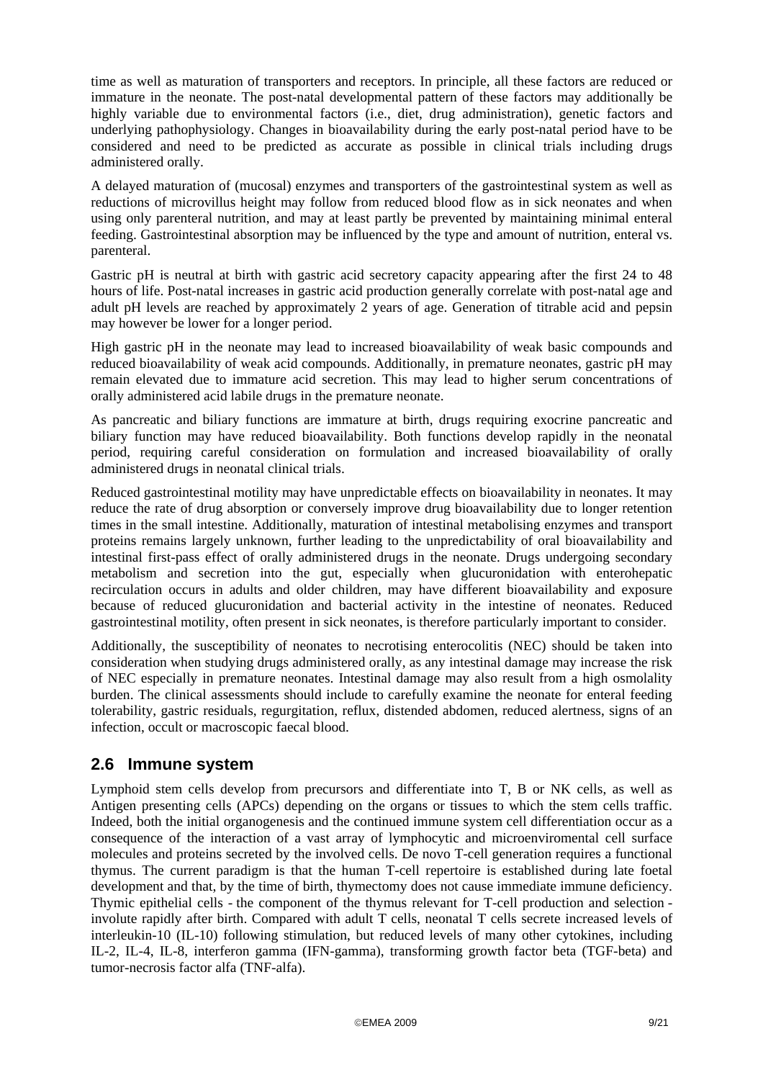<span id="page-8-0"></span>time as well as maturation of transporters and receptors. In principle, all these factors are reduced or immature in the neonate. The post-natal developmental pattern of these factors may additionally be highly variable due to environmental factors (i.e., diet, drug administration), genetic factors and underlying pathophysiology. Changes in bioavailability during the early post-natal period have to be considered and need to be predicted as accurate as possible in clinical trials including drugs administered orally.

A delayed maturation of (mucosal) enzymes and transporters of the gastrointestinal system as well as reductions of microvillus height may follow from reduced blood flow as in sick neonates and when using only parenteral nutrition, and may at least partly be prevented by maintaining minimal enteral feeding. Gastrointestinal absorption may be influenced by the type and amount of nutrition, enteral vs. parenteral.

Gastric pH is neutral at birth with gastric acid secretory capacity appearing after the first 24 to 48 hours of life. Post-natal increases in gastric acid production generally correlate with post-natal age and adult pH levels are reached by approximately 2 years of age. Generation of titrable acid and pepsin may however be lower for a longer period.

High gastric pH in the neonate may lead to increased bioavailability of weak basic compounds and reduced bioavailability of weak acid compounds. Additionally, in premature neonates, gastric pH may remain elevated due to immature acid secretion. This may lead to higher serum concentrations of orally administered acid labile drugs in the premature neonate.

As pancreatic and biliary functions are immature at birth, drugs requiring exocrine pancreatic and biliary function may have reduced bioavailability. Both functions develop rapidly in the neonatal period, requiring careful consideration on formulation and increased bioavailability of orally administered drugs in neonatal clinical trials.

Reduced gastrointestinal motility may have unpredictable effects on bioavailability in neonates. It may reduce the rate of drug absorption or conversely improve drug bioavailability due to longer retention times in the small intestine. Additionally, maturation of intestinal metabolising enzymes and transport proteins remains largely unknown, further leading to the unpredictability of oral bioavailability and intestinal first-pass effect of orally administered drugs in the neonate. Drugs undergoing secondary metabolism and secretion into the gut, especially when glucuronidation with enterohepatic recirculation occurs in adults and older children, may have different bioavailability and exposure because of reduced glucuronidation and bacterial activity in the intestine of neonates. Reduced gastrointestinal motility, often present in sick neonates, is therefore particularly important to consider.

Additionally, the susceptibility of neonates to necrotising enterocolitis (NEC) should be taken into consideration when studying drugs administered orally, as any intestinal damage may increase the risk of NEC especially in premature neonates. Intestinal damage may also result from a high osmolality burden. The clinical assessments should include to carefully examine the neonate for enteral feeding tolerability, gastric residuals, regurgitation, reflux, distended abdomen, reduced alertness, signs of an infection, occult or macroscopic faecal blood.

#### **2.6 Immune system**

Lymphoid stem cells develop from precursors and differentiate into T, B or NK cells, as well as Antigen presenting cells (APCs) depending on the organs or tissues to which the stem cells traffic. Indeed, both the initial organogenesis and the continued immune system cell differentiation occur as a consequence of the interaction of a vast array of lymphocytic and microenviromental cell surface molecules and proteins secreted by the involved cells. De novo T-cell generation requires a functional thymus. The current paradigm is that the human T-cell repertoire is established during late foetal development and that, by the time of birth, thymectomy does not cause immediate immune deficiency. Thymic epithelial cells - the component of the thymus relevant for T-cell production and selection involute rapidly after birth. Compared with adult T cells, neonatal T cells secrete increased levels of interleukin-10 (IL-10) following stimulation, but reduced levels of many other cytokines, including IL-2, IL-4, IL-8, interferon gamma (IFN-gamma), transforming growth factor beta (TGF-beta) and tumor-necrosis factor alfa (TNF-alfa).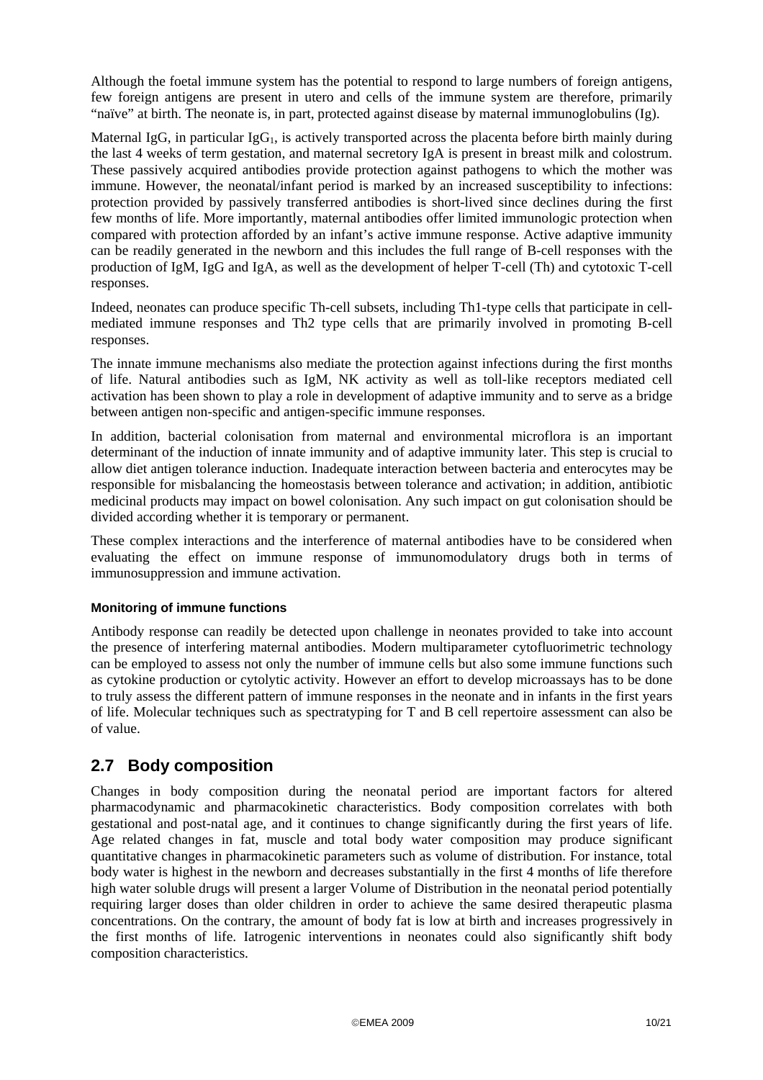<span id="page-9-0"></span>Although the foetal immune system has the potential to respond to large numbers of foreign antigens, few foreign antigens are present in utero and cells of the immune system are therefore, primarily "naïve" at birth. The neonate is, in part, protected against disease by maternal immunoglobulins (Ig).

Maternal IgG, in particular IgG<sub>1</sub>, is actively transported across the placenta before birth mainly during the last 4 weeks of term gestation, and maternal secretory IgA is present in breast milk and colostrum. These passively acquired antibodies provide protection against pathogens to which the mother was immune. However, the neonatal/infant period is marked by an increased susceptibility to infections: protection provided by passively transferred antibodies is short-lived since declines during the first few months of life. More importantly, maternal antibodies offer limited immunologic protection when compared with protection afforded by an infant's active immune response. Active adaptive immunity can be readily generated in the newborn and this includes the full range of B-cell responses with the production of IgM, IgG and IgA, as well as the development of helper T-cell (Th) and cytotoxic T-cell responses.

Indeed, neonates can produce specific Th-cell subsets, including Th1-type cells that participate in cellmediated immune responses and Th2 type cells that are primarily involved in promoting B-cell responses.

The innate immune mechanisms also mediate the protection against infections during the first months of life. Natural antibodies such as IgM, NK activity as well as toll-like receptors mediated cell activation has been shown to play a role in development of adaptive immunity and to serve as a bridge between antigen non-specific and antigen-specific immune responses.

In addition, bacterial colonisation from maternal and environmental microflora is an important determinant of the induction of innate immunity and of adaptive immunity later. This step is crucial to allow diet antigen tolerance induction. Inadequate interaction between bacteria and enterocytes may be responsible for misbalancing the homeostasis between tolerance and activation; in addition, antibiotic medicinal products may impact on bowel colonisation. Any such impact on gut colonisation should be divided according whether it is temporary or permanent.

These complex interactions and the interference of maternal antibodies have to be considered when evaluating the effect on immune response of immunomodulatory drugs both in terms of immunosuppression and immune activation.

#### **Monitoring of immune functions**

Antibody response can readily be detected upon challenge in neonates provided to take into account the presence of interfering maternal antibodies. Modern multiparameter cytofluorimetric technology can be employed to assess not only the number of immune cells but also some immune functions such as cytokine production or cytolytic activity. However an effort to develop microassays has to be done to truly assess the different pattern of immune responses in the neonate and in infants in the first years of life. Molecular techniques such as spectratyping for T and B cell repertoire assessment can also be of value.

#### **2.7 Body composition**

Changes in body composition during the neonatal period are important factors for altered pharmacodynamic and pharmacokinetic characteristics. Body composition correlates with both gestational and post-natal age, and it continues to change significantly during the first years of life. Age related changes in fat, muscle and total body water composition may produce significant quantitative changes in pharmacokinetic parameters such as volume of distribution. For instance, total body water is highest in the newborn and decreases substantially in the first 4 months of life therefore high water soluble drugs will present a larger Volume of Distribution in the neonatal period potentially requiring larger doses than older children in order to achieve the same desired therapeutic plasma concentrations. On the contrary, the amount of body fat is low at birth and increases progressively in the first months of life. Iatrogenic interventions in neonates could also significantly shift body composition characteristics.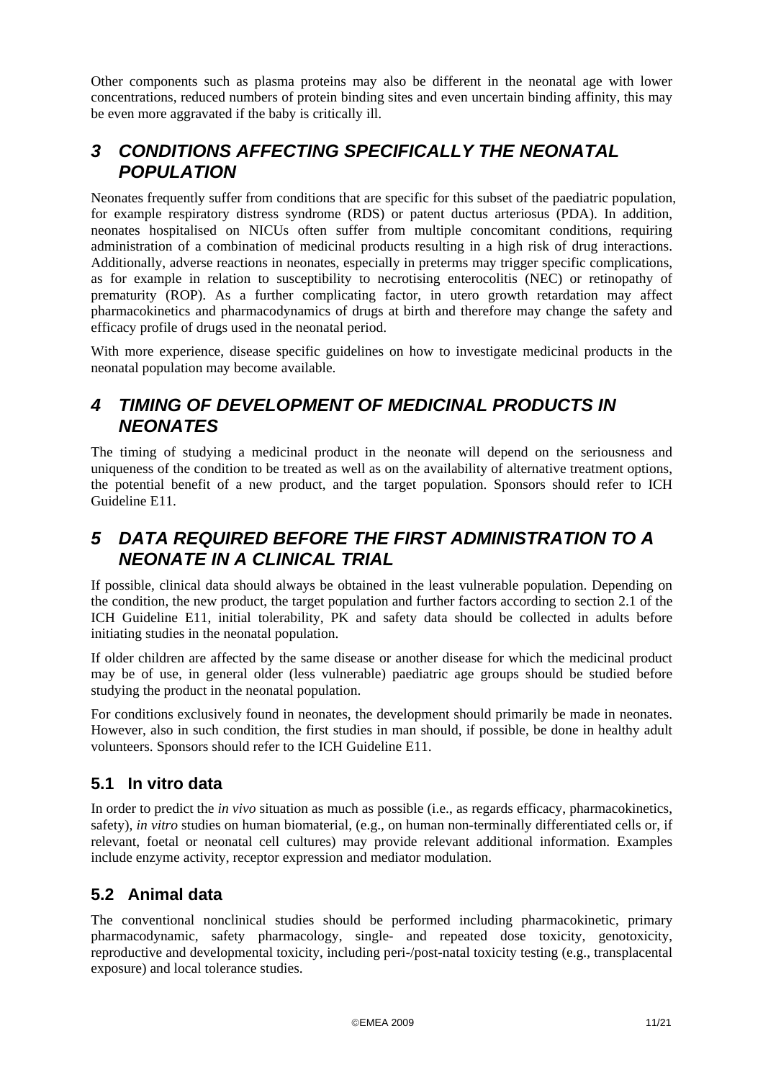<span id="page-10-0"></span>Other components such as plasma proteins may also be different in the neonatal age with lower concentrations, reduced numbers of protein binding sites and even uncertain binding affinity, this may be even more aggravated if the baby is critically ill.

### *3 CONDITIONS AFFECTING SPECIFICALLY THE NEONATAL POPULATION*

Neonates frequently suffer from conditions that are specific for this subset of the paediatric population, for example respiratory distress syndrome (RDS) or patent ductus arteriosus (PDA). In addition, neonates hospitalised on NICUs often suffer from multiple concomitant conditions, requiring administration of a combination of medicinal products resulting in a high risk of drug interactions. Additionally, adverse reactions in neonates, especially in preterms may trigger specific complications, as for example in relation to susceptibility to necrotising enterocolitis (NEC) or retinopathy of prematurity (ROP). As a further complicating factor, in utero growth retardation may affect pharmacokinetics and pharmacodynamics of drugs at birth and therefore may change the safety and efficacy profile of drugs used in the neonatal period.

With more experience, disease specific guidelines on how to investigate medicinal products in the neonatal population may become available.

## *4 TIMING OF DEVELOPMENT OF MEDICINAL PRODUCTS IN NEONATES*

The timing of studying a medicinal product in the neonate will depend on the seriousness and uniqueness of the condition to be treated as well as on the availability of alternative treatment options, the potential benefit of a new product, and the target population. Sponsors should refer to ICH Guideline E11.

## *5 DATA REQUIRED BEFORE THE FIRST ADMINISTRATION TO A NEONATE IN A CLINICAL TRIAL*

If possible, clinical data should always be obtained in the least vulnerable population. Depending on the condition, the new product, the target population and further factors according to section 2.1 of the ICH Guideline E11, initial tolerability, PK and safety data should be collected in adults before initiating studies in the neonatal population.

If older children are affected by the same disease or another disease for which the medicinal product may be of use, in general older (less vulnerable) paediatric age groups should be studied before studying the product in the neonatal population.

For conditions exclusively found in neonates, the development should primarily be made in neonates. However, also in such condition, the first studies in man should, if possible, be done in healthy adult volunteers. Sponsors should refer to the ICH Guideline E11.

### **5.1 In vitro data**

In order to predict the *in vivo* situation as much as possible (i.e., as regards efficacy, pharmacokinetics, safety), *in vitro* studies on human biomaterial, (e.g., on human non-terminally differentiated cells or, if relevant, foetal or neonatal cell cultures) may provide relevant additional information. Examples include enzyme activity, receptor expression and mediator modulation.

## <span id="page-10-1"></span>**5.2 Animal data**

The conventional nonclinical studies should be performed including pharmacokinetic, primary pharmacodynamic, safety pharmacology, single- and repeated dose toxicity, genotoxicity, reproductive and developmental toxicity, including peri-/post-natal toxicity testing (e.g., transplacental exposure) and local tolerance studies.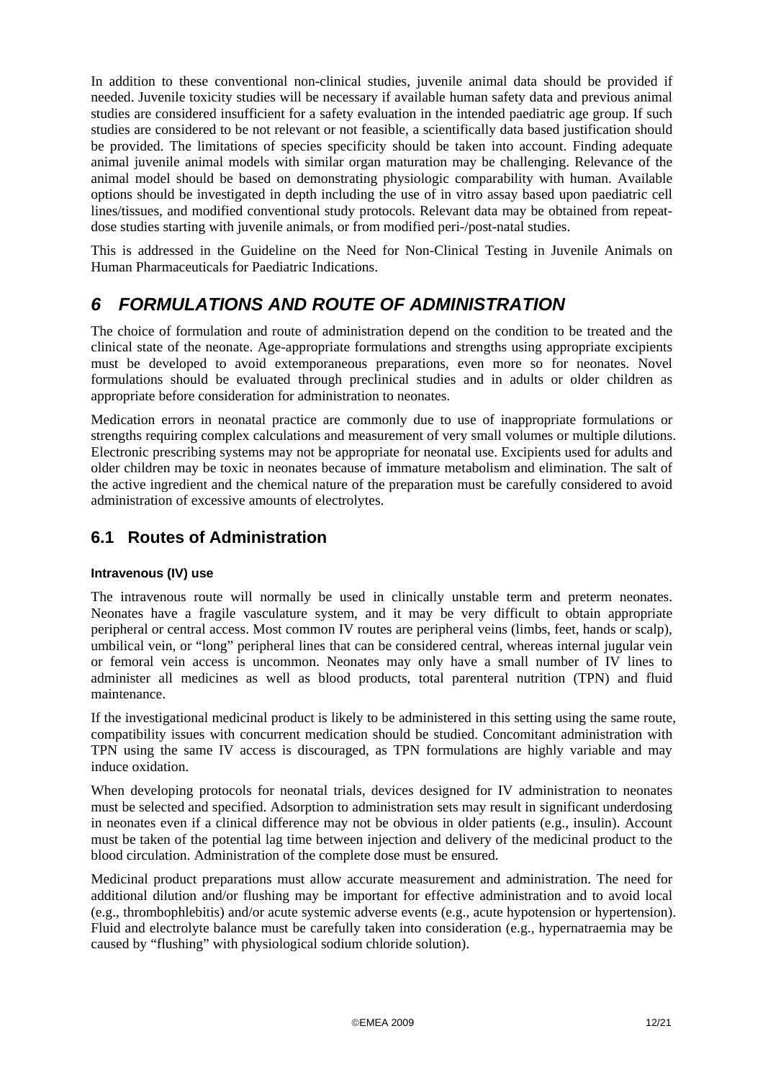<span id="page-11-0"></span>In addition to these conventional non-clinical studies, juvenile animal data should be provided if needed. Juvenile toxicity studies will be necessary if available human safety data and previous animal studies are considered insufficient for a safety evaluation in the intended paediatric age group. If such studies are considered to be not relevant or not feasible, a scientifically data based justification should be provided. The limitations of species specificity should be taken into account. Finding adequate animal juvenile animal models with similar organ maturation may be challenging. Relevance of the animal model should be based on demonstrating physiologic comparability with human. Available options should be investigated in depth including the use of in vitro assay based upon paediatric cell lines/tissues, and modified conventional study protocols. Relevant data may be obtained from repeatdose studies starting with juvenile animals, or from modified peri-/post-natal studies.

This is addressed in the Guideline on the Need for Non-Clinical Testing in Juvenile Animals on Human Pharmaceuticals for Paediatric Indications.

## *6 FORMULATIONS AND ROUTE OF ADMINISTRATION*

The choice of formulation and route of administration depend on the condition to be treated and the clinical state of the neonate. Age-appropriate formulations and strengths using appropriate excipients must be developed to avoid extemporaneous preparations, even more so for neonates. Novel formulations should be evaluated through preclinical studies and in adults or older children as appropriate before consideration for administration to neonates.

Medication errors in neonatal practice are commonly due to use of inappropriate formulations or strengths requiring complex calculations and measurement of very small volumes or multiple dilutions. Electronic prescribing systems may not be appropriate for neonatal use. Excipients used for adults and older children may be toxic in neonates because of immature metabolism and elimination. The salt of the active ingredient and the chemical nature of the preparation must be carefully considered to avoid administration of excessive amounts of electrolytes.

### **6.1 Routes of Administration**

#### **Intravenous (IV) use**

The intravenous route will normally be used in clinically unstable term and preterm neonates. Neonates have a fragile vasculature system, and it may be very difficult to obtain appropriate peripheral or central access. Most common IV routes are peripheral veins (limbs, feet, hands or scalp), umbilical vein, or "long" peripheral lines that can be considered central, whereas internal jugular vein or femoral vein access is uncommon. Neonates may only have a small number of IV lines to administer all medicines as well as blood products, total parenteral nutrition (TPN) and fluid maintenance.

If the investigational medicinal product is likely to be administered in this setting using the same route, compatibility issues with concurrent medication should be studied. Concomitant administration with TPN using the same IV access is discouraged, as TPN formulations are highly variable and may induce oxidation.

When developing protocols for neonatal trials, devices designed for IV administration to neonates must be selected and specified. Adsorption to administration sets may result in significant underdosing in neonates even if a clinical difference may not be obvious in older patients (e.g., insulin). Account must be taken of the potential lag time between injection and delivery of the medicinal product to the blood circulation. Administration of the complete dose must be ensured.

Medicinal product preparations must allow accurate measurement and administration. The need for additional dilution and/or flushing may be important for effective administration and to avoid local (e.g., thrombophlebitis) and/or acute systemic adverse events (e.g., acute hypotension or hypertension). Fluid and electrolyte balance must be carefully taken into consideration (e.g., hypernatraemia may be caused by "flushing" with physiological sodium chloride solution).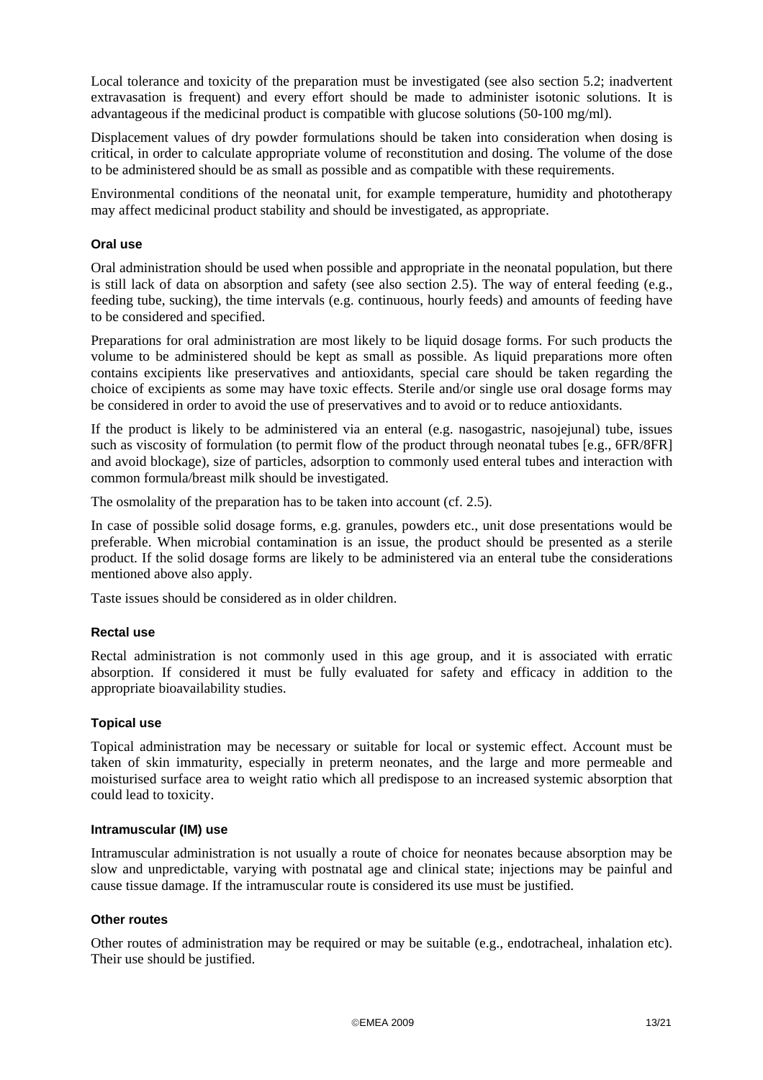Local tolerance and toxicity of the preparation must be investigated (see also section [5.2](#page-10-1); inadvertent extravasation is frequent) and every effort should be made to administer isotonic solutions. It is advantageous if the medicinal product is compatible with glucose solutions (50-100 mg/ml).

Displacement values of dry powder formulations should be taken into consideration when dosing is critical, in order to calculate appropriate volume of reconstitution and dosing. The volume of the dose to be administered should be as small as possible and as compatible with these requirements.

Environmental conditions of the neonatal unit, for example temperature, humidity and phototherapy may affect medicinal product stability and should be investigated, as appropriate.

#### **Oral use**

Oral administration should be used when possible and appropriate in the neonatal population, but there is still lack of data on absorption and safety (see also section [2.5\)](#page-7-1). The way of enteral feeding (e.g., feeding tube, sucking), the time intervals (e.g. continuous, hourly feeds) and amounts of feeding have to be considered and specified.

Preparations for oral administration are most likely to be liquid dosage forms. For such products the volume to be administered should be kept as small as possible. As liquid preparations more often contains excipients like preservatives and antioxidants, special care should be taken regarding the choice of excipients as some may have toxic effects. Sterile and/or single use oral dosage forms may be considered in order to avoid the use of preservatives and to avoid or to reduce antioxidants.

If the product is likely to be administered via an enteral (e.g. nasogastric, nasojejunal) tube, issues such as viscosity of formulation (to permit flow of the product through neonatal tubes [e.g., 6FR/8FR] and avoid blockage), size of particles, adsorption to commonly used enteral tubes and interaction with common formula/breast milk should be investigated.

The osmolality of the preparation has to be taken into account (cf. [2.5\)](#page-7-1).

In case of possible solid dosage forms, e.g. granules, powders etc., unit dose presentations would be preferable. When microbial contamination is an issue, the product should be presented as a sterile product. If the solid dosage forms are likely to be administered via an enteral tube the considerations mentioned above also apply.

Taste issues should be considered as in older children.

#### **Rectal use**

Rectal administration is not commonly used in this age group, and it is associated with erratic absorption. If considered it must be fully evaluated for safety and efficacy in addition to the appropriate bioavailability studies.

#### **Topical use**

Topical administration may be necessary or suitable for local or systemic effect. Account must be taken of skin immaturity, especially in preterm neonates, and the large and more permeable and moisturised surface area to weight ratio which all predispose to an increased systemic absorption that could lead to toxicity.

#### **Intramuscular (IM) use**

Intramuscular administration is not usually a route of choice for neonates because absorption may be slow and unpredictable, varying with postnatal age and clinical state; injections may be painful and cause tissue damage. If the intramuscular route is considered its use must be justified.

#### **Other routes**

Other routes of administration may be required or may be suitable (e.g., endotracheal, inhalation etc). Their use should be justified.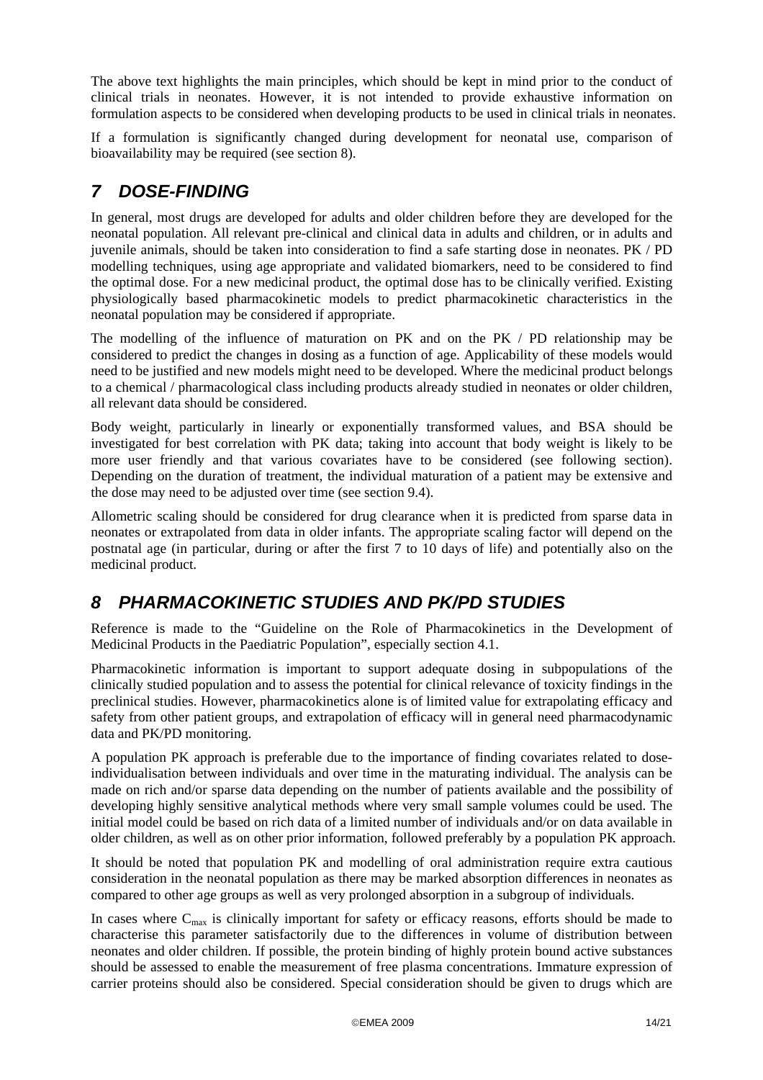<span id="page-13-0"></span>The above text highlights the main principles, which should be kept in mind prior to the conduct of clinical trials in neonates. However, it is not intended to provide exhaustive information on formulation aspects to be considered when developing products to be used in clinical trials in neonates.

If a formulation is significantly changed during development for neonatal use, comparison of bioavailability may be required (see section [8](#page-13-1)).

## *7 DOSE-FINDING*

In general, most drugs are developed for adults and older children before they are developed for the neonatal population. All relevant pre-clinical and clinical data in adults and children, or in adults and juvenile animals, should be taken into consideration to find a safe starting dose in neonates. PK / PD modelling techniques, using age appropriate and validated biomarkers, need to be considered to find the optimal dose. For a new medicinal product, the optimal dose has to be clinically verified. Existing physiologically based pharmacokinetic models to predict pharmacokinetic characteristics in the neonatal population may be considered if appropriate.

The modelling of the influence of maturation on PK and on the PK / PD relationship may be considered to predict the changes in dosing as a function of age. Applicability of these models would need to be justified and new models might need to be developed. Where the medicinal product belongs to a chemical / pharmacological class including products already studied in neonates or older children, all relevant data should be considered.

Body weight, particularly in linearly or exponentially transformed values, and BSA should be investigated for best correlation with PK data; taking into account that body weight is likely to be more user friendly and that various covariates have to be considered (see following section). Depending on the duration of treatment, the individual maturation of a patient may be extensive and the dose may need to be adjusted over time (see section [9.4\)](#page-16-1).

Allometric scaling should be considered for drug clearance when it is predicted from sparse data in neonates or extrapolated from data in older infants. The appropriate scaling factor will depend on the postnatal age (in particular, during or after the first 7 to 10 days of life) and potentially also on the medicinal product.

## <span id="page-13-1"></span>*8 PHARMACOKINETIC STUDIES AND PK/PD STUDIES*

Reference is made to the "Guideline on the Role of Pharmacokinetics in the Development of Medicinal Products in the Paediatric Population", especially section 4.1.

Pharmacokinetic information is important to support adequate dosing in subpopulations of the clinically studied population and to assess the potential for clinical relevance of toxicity findings in the preclinical studies. However, pharmacokinetics alone is of limited value for extrapolating efficacy and safety from other patient groups, and extrapolation of efficacy will in general need pharmacodynamic data and PK/PD monitoring.

A population PK approach is preferable due to the importance of finding covariates related to doseindividualisation between individuals and over time in the maturating individual. The analysis can be made on rich and/or sparse data depending on the number of patients available and the possibility of developing highly sensitive analytical methods where very small sample volumes could be used. The initial model could be based on rich data of a limited number of individuals and/or on data available in older children, as well as on other prior information, followed preferably by a population PK approach.

It should be noted that population PK and modelling of oral administration require extra cautious consideration in the neonatal population as there may be marked absorption differences in neonates as compared to other age groups as well as very prolonged absorption in a subgroup of individuals.

In cases where  $C_{\text{max}}$  is clinically important for safety or efficacy reasons, efforts should be made to characterise this parameter satisfactorily due to the differences in volume of distribution between neonates and older children. If possible, the protein binding of highly protein bound active substances should be assessed to enable the measurement of free plasma concentrations. Immature expression of carrier proteins should also be considered. Special consideration should be given to drugs which are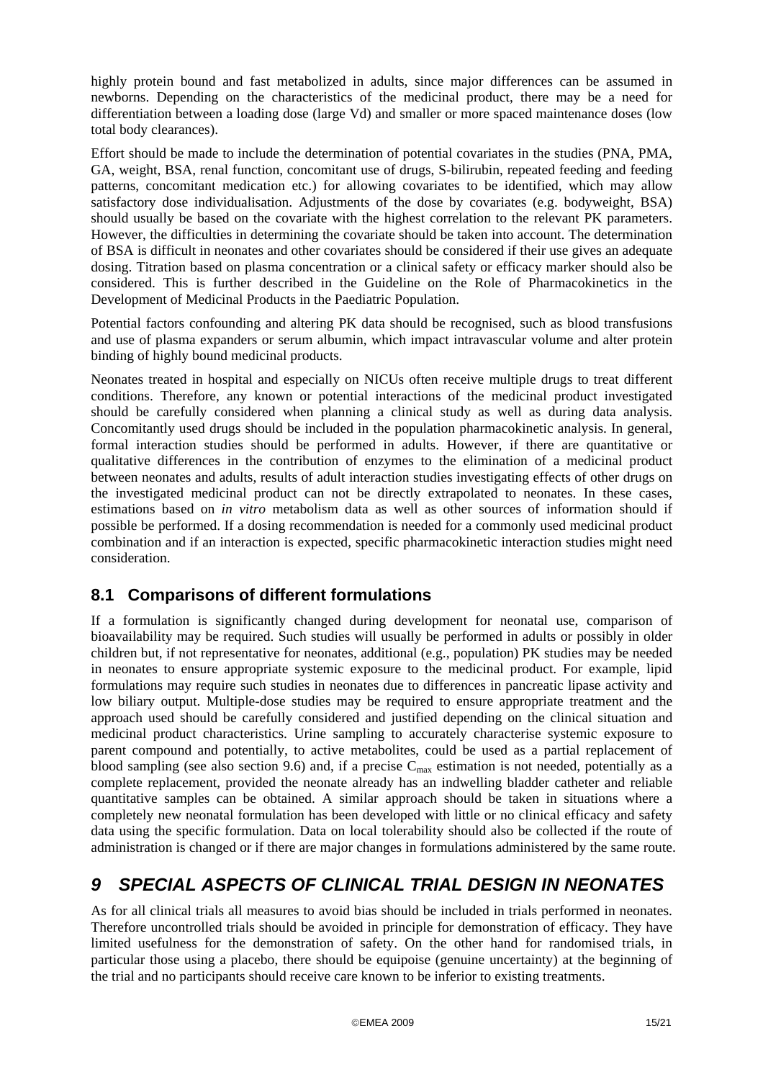<span id="page-14-0"></span>highly protein bound and fast metabolized in adults, since major differences can be assumed in newborns. Depending on the characteristics of the medicinal product, there may be a need for differentiation between a loading dose (large Vd) and smaller or more spaced maintenance doses (low total body clearances).

Effort should be made to include the determination of potential covariates in the studies (PNA, PMA, GA, weight, BSA, renal function, concomitant use of drugs, S-bilirubin, repeated feeding and feeding patterns, concomitant medication etc.) for allowing covariates to be identified, which may allow satisfactory dose individualisation. Adjustments of the dose by covariates (e.g. bodyweight, BSA) should usually be based on the covariate with the highest correlation to the relevant PK parameters. However, the difficulties in determining the covariate should be taken into account. The determination of BSA is difficult in neonates and other covariates should be considered if their use gives an adequate dosing. Titration based on plasma concentration or a clinical safety or efficacy marker should also be considered. This is further described in the Guideline on the Role of Pharmacokinetics in the Development of Medicinal Products in the Paediatric Population.

Potential factors confounding and altering PK data should be recognised, such as blood transfusions and use of plasma expanders or serum albumin, which impact intravascular volume and alter protein binding of highly bound medicinal products.

Neonates treated in hospital and especially on NICUs often receive multiple drugs to treat different conditions. Therefore, any known or potential interactions of the medicinal product investigated should be carefully considered when planning a clinical study as well as during data analysis. Concomitantly used drugs should be included in the population pharmacokinetic analysis. In general, formal interaction studies should be performed in adults. However, if there are quantitative or qualitative differences in the contribution of enzymes to the elimination of a medicinal product between neonates and adults, results of adult interaction studies investigating effects of other drugs on the investigated medicinal product can not be directly extrapolated to neonates. In these cases, estimations based on *in vitro* metabolism data as well as other sources of information should if possible be performed. If a dosing recommendation is needed for a commonly used medicinal product combination and if an interaction is expected, specific pharmacokinetic interaction studies might need consideration.

### **8.1 Comparisons of different formulations**

If a formulation is significantly changed during development for neonatal use, comparison of bioavailability may be required. Such studies will usually be performed in adults or possibly in older children but, if not representative for neonates, additional (e.g., population) PK studies may be needed in neonates to ensure appropriate systemic exposure to the medicinal product. For example, lipid formulations may require such studies in neonates due to differences in pancreatic lipase activity and low biliary output. Multiple-dose studies may be required to ensure appropriate treatment and the approach used should be carefully considered and justified depending on the clinical situation and medicinal product characteristics. Urine sampling to accurately characterise systemic exposure to parent compound and potentially, to active metabolites, could be used as a partial replacement of blood sampling (see also section [9.6\)](#page-17-1) and, if a precise  $C_{\text{max}}$  estimation is not needed, potentially as a complete replacement, provided the neonate already has an indwelling bladder catheter and reliable quantitative samples can be obtained. A similar approach should be taken in situations where a completely new neonatal formulation has been developed with little or no clinical efficacy and safety data using the specific formulation. Data on local tolerability should also be collected if the route of administration is changed or if there are major changes in formulations administered by the same route.

## <span id="page-14-1"></span>*9 SPECIAL ASPECTS OF CLINICAL TRIAL DESIGN IN NEONATES*

As for all clinical trials all measures to avoid bias should be included in trials performed in neonates. Therefore uncontrolled trials should be avoided in principle for demonstration of efficacy. They have limited usefulness for the demonstration of safety. On the other hand for randomised trials, in particular those using a placebo, there should be equipoise (genuine uncertainty) at the beginning of the trial and no participants should receive care known to be inferior to existing treatments.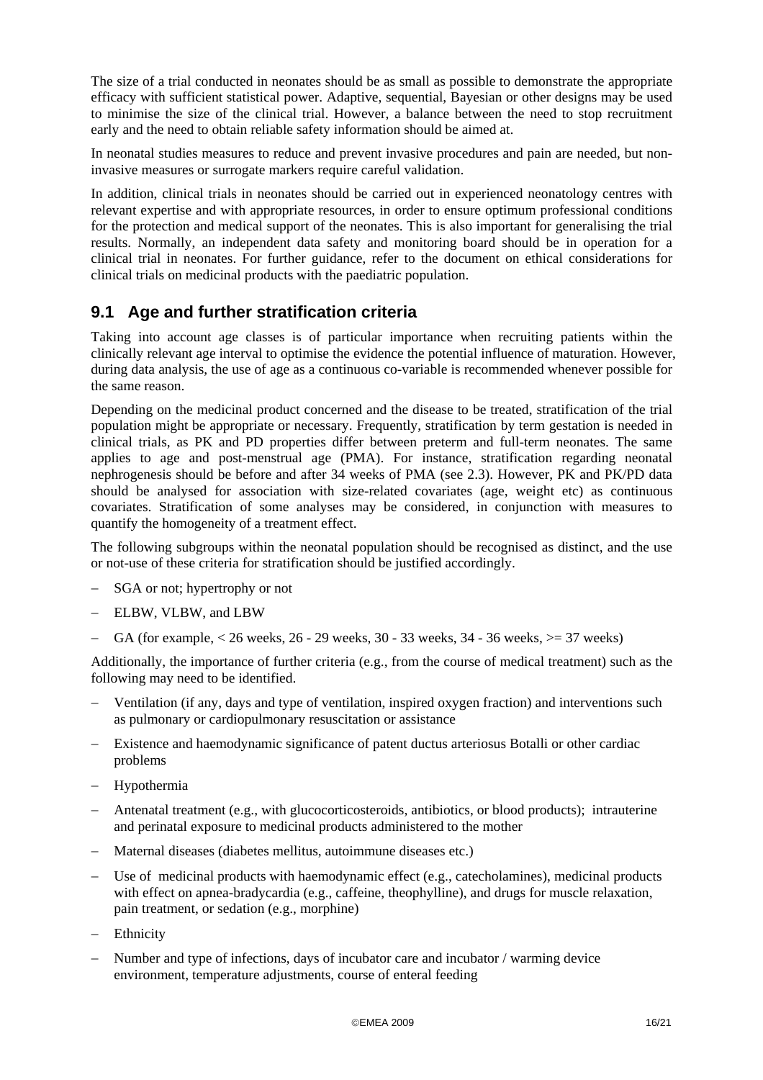<span id="page-15-0"></span>The size of a trial conducted in neonates should be as small as possible to demonstrate the appropriate efficacy with sufficient statistical power. Adaptive, sequential, Bayesian or other designs may be used to minimise the size of the clinical trial. However, a balance between the need to stop recruitment early and the need to obtain reliable safety information should be aimed at.

In neonatal studies measures to reduce and prevent invasive procedures and pain are needed, but noninvasive measures or surrogate markers require careful validation.

In addition, clinical trials in neonates should be carried out in experienced neonatology centres with relevant expertise and with appropriate resources, in order to ensure optimum professional conditions for the protection and medical support of the neonates. This is also important for generalising the trial results. Normally, an independent data safety and monitoring board should be in operation for a clinical trial in neonates. For further guidance, refer to the document on ethical considerations for clinical trials on medicinal products with the paediatric population.

### <span id="page-15-1"></span>**9.1 Age and further stratification criteria**

Taking into account age classes is of particular importance when recruiting patients within the clinically relevant age interval to optimise the evidence the potential influence of maturation. However, during data analysis, the use of age as a continuous co-variable is recommended whenever possible for the same reason.

Depending on the medicinal product concerned and the disease to be treated, stratification of the trial population might be appropriate or necessary. Frequently, stratification by term gestation is needed in clinical trials, as PK and PD properties differ between preterm and full-term neonates. The same applies to age and post-menstrual age (PMA). For instance, stratification regarding neonatal nephrogenesis should be before and after 34 weeks of PMA (see [2.3](#page-6-1)). However, PK and PK/PD data should be analysed for association with size-related covariates (age, weight etc) as continuous covariates. Stratification of some analyses may be considered, in conjunction with measures to quantify the homogeneity of a treatment effect.

The following subgroups within the neonatal population should be recognised as distinct, and the use or not-use of these criteria for stratification should be justified accordingly.

- SGA or not; hypertrophy or not
- − ELBW, VLBW, and LBW
- GA (for example, < 26 weeks, 26 29 weeks, 30 33 weeks, 34 36 weeks, > = 37 weeks)

Additionally, the importance of further criteria (e.g., from the course of medical treatment) such as the following may need to be identified.

- Ventilation (if any, days and type of ventilation, inspired oxygen fraction) and interventions such as pulmonary or cardiopulmonary resuscitation or assistance
- Existence and haemodynamic significance of patent ductus arteriosus Botalli or other cardiac problems
- − Hypothermia
- − Antenatal treatment (e.g., with glucocorticosteroids, antibiotics, or blood products); intrauterine and perinatal exposure to medicinal products administered to the mother
- − Maternal diseases (diabetes mellitus, autoimmune diseases etc.)
- Use of medicinal products with haemodynamic effect (e.g., catecholamines), medicinal products with effect on apnea-bradycardia (e.g., caffeine, theophylline), and drugs for muscle relaxation, pain treatment, or sedation (e.g., morphine)
- Ethnicity
- Number and type of infections, days of incubator care and incubator / warming device environment, temperature adjustments, course of enteral feeding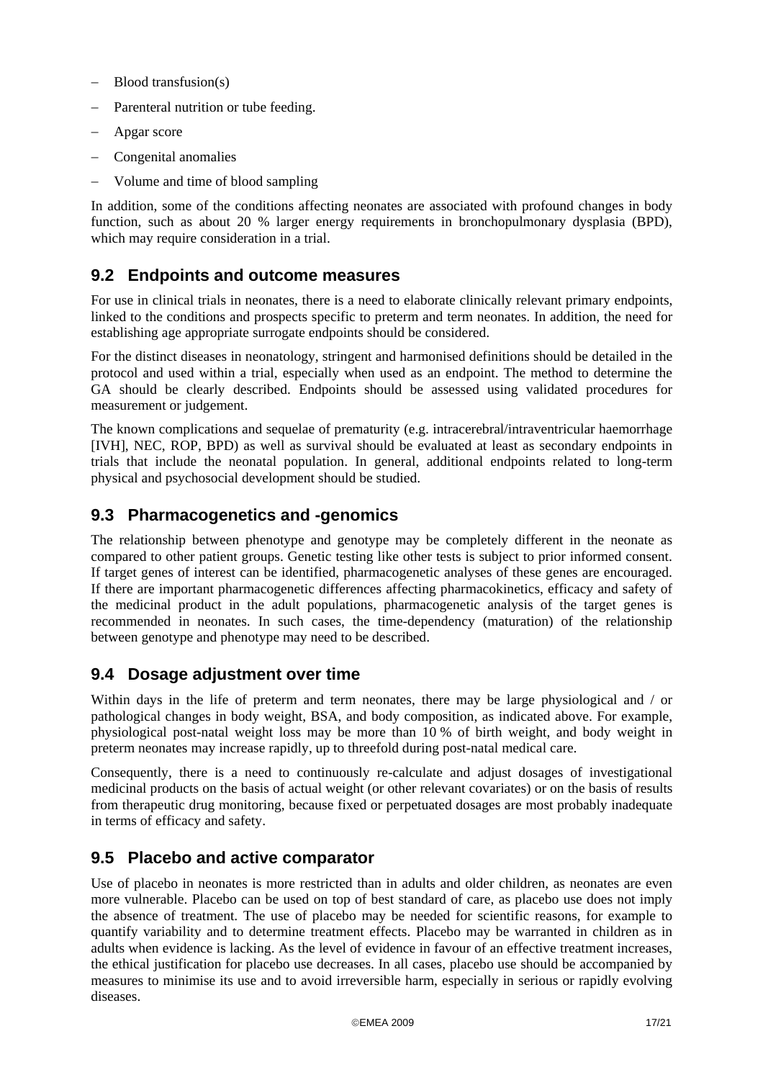- <span id="page-16-0"></span>Blood transfusion(s)
- Parenteral nutrition or tube feeding.
- − Apgar score
- − Congenital anomalies
- − Volume and time of blood sampling

In addition, some of the conditions affecting neonates are associated with profound changes in body function, such as about 20 % larger energy requirements in bronchopulmonary dysplasia (BPD), which may require consideration in a trial.

### **9.2 Endpoints and outcome measures**

For use in clinical trials in neonates, there is a need to elaborate clinically relevant primary endpoints, linked to the conditions and prospects specific to preterm and term neonates. In addition, the need for establishing age appropriate surrogate endpoints should be considered.

For the distinct diseases in neonatology, stringent and harmonised definitions should be detailed in the protocol and used within a trial, especially when used as an endpoint. The method to determine the GA should be clearly described. Endpoints should be assessed using validated procedures for measurement or judgement.

The known complications and sequelae of prematurity (e.g. intracerebral/intraventricular haemorrhage [IVH], NEC, ROP, BPD) as well as survival should be evaluated at least as secondary endpoints in trials that include the neonatal population. In general, additional endpoints related to long-term physical and psychosocial development should be studied.

### **9.3 Pharmacogenetics and -genomics**

The relationship between phenotype and genotype may be completely different in the neonate as compared to other patient groups. Genetic testing like other tests is subject to prior informed consent. If target genes of interest can be identified, pharmacogenetic analyses of these genes are encouraged. If there are important pharmacogenetic differences affecting pharmacokinetics, efficacy and safety of the medicinal product in the adult populations, pharmacogenetic analysis of the target genes is recommended in neonates. In such cases, the time-dependency (maturation) of the relationship between genotype and phenotype may need to be described.

### <span id="page-16-1"></span>**9.4 Dosage adjustment over time**

Within days in the life of preterm and term neonates, there may be large physiological and / or pathological changes in body weight, BSA, and body composition, as indicated above. For example, physiological post-natal weight loss may be more than 10 % of birth weight, and body weight in preterm neonates may increase rapidly, up to threefold during post-natal medical care.

Consequently, there is a need to continuously re-calculate and adjust dosages of investigational medicinal products on the basis of actual weight (or other relevant covariates) or on the basis of results from therapeutic drug monitoring, because fixed or perpetuated dosages are most probably inadequate in terms of efficacy and safety.

#### **9.5 Placebo and active comparator**

Use of placebo in neonates is more restricted than in adults and older children, as neonates are even more vulnerable. Placebo can be used on top of best standard of care, as placebo use does not imply the absence of treatment. The use of placebo may be needed for scientific reasons, for example to quantify variability and to determine treatment effects. Placebo may be warranted in children as in adults when evidence is lacking. As the level of evidence in favour of an effective treatment increases, the ethical justification for placebo use decreases. In all cases, placebo use should be accompanied by measures to minimise its use and to avoid irreversible harm, especially in serious or rapidly evolving diseases.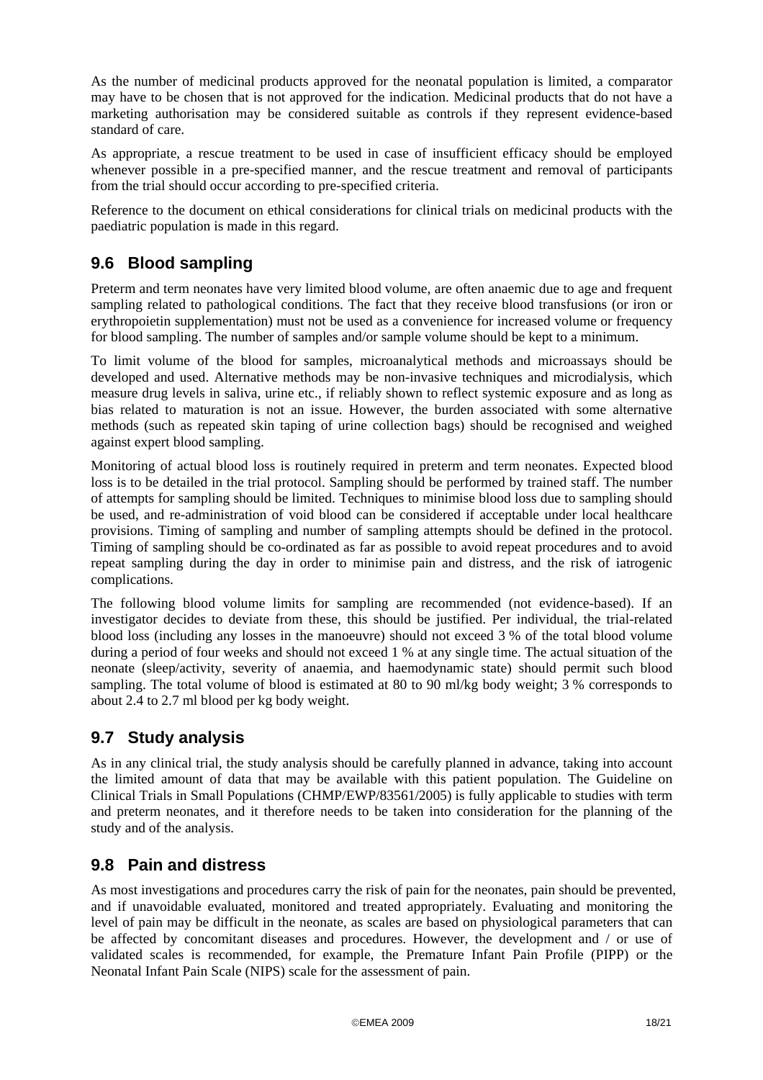<span id="page-17-0"></span>As the number of medicinal products approved for the neonatal population is limited, a comparator may have to be chosen that is not approved for the indication. Medicinal products that do not have a marketing authorisation may be considered suitable as controls if they represent evidence-based standard of care.

As appropriate, a rescue treatment to be used in case of insufficient efficacy should be employed whenever possible in a pre-specified manner, and the rescue treatment and removal of participants from the trial should occur according to pre-specified criteria.

Reference to the document on ethical considerations for clinical trials on medicinal products with the paediatric population is made in this regard.

### <span id="page-17-1"></span>**9.6 Blood sampling**

Preterm and term neonates have very limited blood volume, are often anaemic due to age and frequent sampling related to pathological conditions. The fact that they receive blood transfusions (or iron or erythropoietin supplementation) must not be used as a convenience for increased volume or frequency for blood sampling. The number of samples and/or sample volume should be kept to a minimum.

To limit volume of the blood for samples, microanalytical methods and microassays should be developed and used. Alternative methods may be non-invasive techniques and microdialysis, which measure drug levels in saliva, urine etc., if reliably shown to reflect systemic exposure and as long as bias related to maturation is not an issue. However, the burden associated with some alternative methods (such as repeated skin taping of urine collection bags) should be recognised and weighed against expert blood sampling.

Monitoring of actual blood loss is routinely required in preterm and term neonates. Expected blood loss is to be detailed in the trial protocol. Sampling should be performed by trained staff. The number of attempts for sampling should be limited. Techniques to minimise blood loss due to sampling should be used, and re-administration of void blood can be considered if acceptable under local healthcare provisions. Timing of sampling and number of sampling attempts should be defined in the protocol. Timing of sampling should be co-ordinated as far as possible to avoid repeat procedures and to avoid repeat sampling during the day in order to minimise pain and distress, and the risk of iatrogenic complications.

The following blood volume limits for sampling are recommended (not evidence-based). If an investigator decides to deviate from these, this should be justified. Per individual, the trial-related blood loss (including any losses in the manoeuvre) should not exceed 3 % of the total blood volume during a period of four weeks and should not exceed 1 % at any single time. The actual situation of the neonate (sleep/activity, severity of anaemia, and haemodynamic state) should permit such blood sampling. The total volume of blood is estimated at 80 to 90 ml/kg body weight; 3 % corresponds to about 2.4 to 2.7 ml blood per kg body weight.

### **9.7 Study analysis**

As in any clinical trial, the study analysis should be carefully planned in advance, taking into account the limited amount of data that may be available with this patient population. The Guideline on Clinical Trials in Small Populations (CHMP/EWP/83561/2005) is fully applicable to studies with term and preterm neonates, and it therefore needs to be taken into consideration for the planning of the study and of the analysis.

### **9.8 Pain and distress**

As most investigations and procedures carry the risk of pain for the neonates, pain should be prevented, and if unavoidable evaluated, monitored and treated appropriately. Evaluating and monitoring the level of pain may be difficult in the neonate, as scales are based on physiological parameters that can be affected by concomitant diseases and procedures. However, the development and / or use of validated scales is recommended, for example, the Premature Infant Pain Profile (PIPP) or the Neonatal Infant Pain Scale (NIPS) scale for the assessment of pain.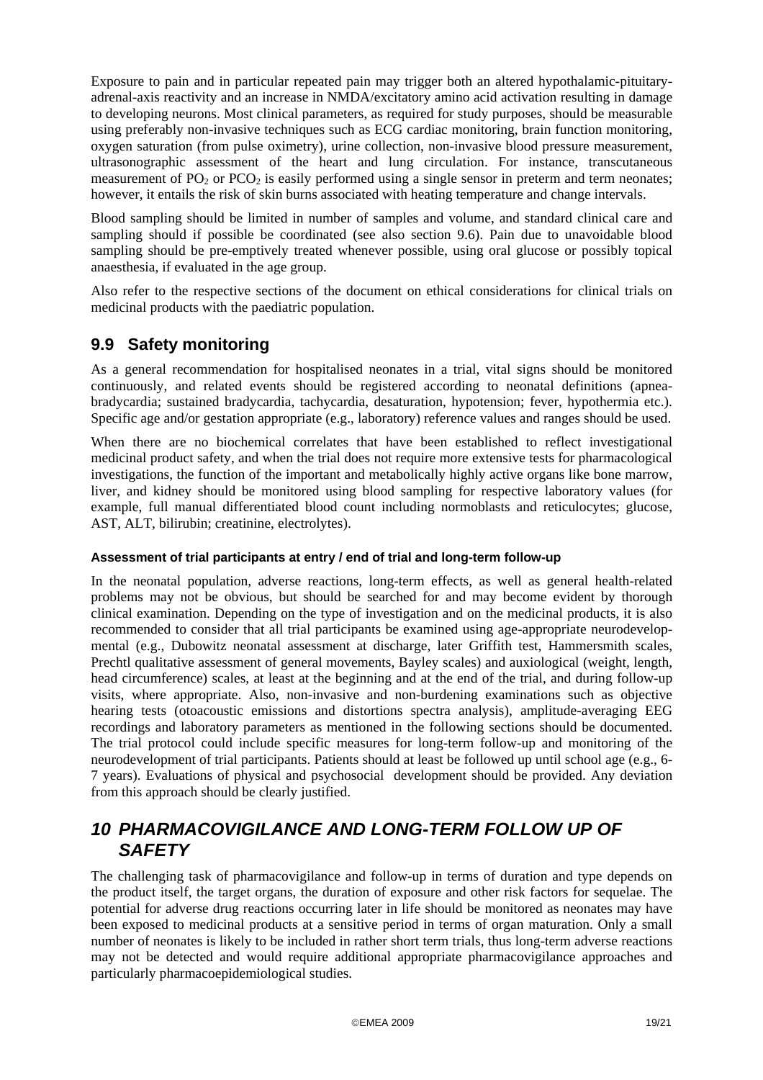<span id="page-18-0"></span>Exposure to pain and in particular repeated pain may trigger both an altered hypothalamic-pituitaryadrenal-axis reactivity and an increase in NMDA/excitatory amino acid activation resulting in damage to developing neurons. Most clinical parameters, as required for study purposes, should be measurable using preferably non-invasive techniques such as ECG cardiac monitoring, brain function monitoring, oxygen saturation (from pulse oximetry), urine collection, non-invasive blood pressure measurement, ultrasonographic assessment of the heart and lung circulation. For instance, transcutaneous measurement of PO<sub>2</sub> or PCO<sub>2</sub> is easily performed using a single sensor in preterm and term neonates; however, it entails the risk of skin burns associated with heating temperature and change intervals.

Blood sampling should be limited in number of samples and volume, and standard clinical care and sampling should if possible be coordinated (see also section [9.6](#page-17-1)). Pain due to unavoidable blood sampling should be pre-emptively treated whenever possible, using oral glucose or possibly topical anaesthesia, if evaluated in the age group.

Also refer to the respective sections of the document on ethical considerations for clinical trials on medicinal products with the paediatric population.

#### **9.9 Safety monitoring**

As a general recommendation for hospitalised neonates in a trial, vital signs should be monitored continuously, and related events should be registered according to neonatal definitions (apneabradycardia; sustained bradycardia, tachycardia, desaturation, hypotension; fever, hypothermia etc.). Specific age and/or gestation appropriate (e.g., laboratory) reference values and ranges should be used.

When there are no biochemical correlates that have been established to reflect investigational medicinal product safety, and when the trial does not require more extensive tests for pharmacological investigations, the function of the important and metabolically highly active organs like bone marrow, liver, and kidney should be monitored using blood sampling for respective laboratory values (for example, full manual differentiated blood count including normoblasts and reticulocytes; glucose, AST, ALT, bilirubin; creatinine, electrolytes).

#### **Assessment of trial participants at entry / end of trial and long-term follow-up**

In the neonatal population, adverse reactions, long-term effects, as well as general health-related problems may not be obvious, but should be searched for and may become evident by thorough clinical examination. Depending on the type of investigation and on the medicinal products, it is also recommended to consider that all trial participants be examined using age-appropriate neurodevelopmental (e.g., Dubowitz neonatal assessment at discharge, later Griffith test, Hammersmith scales, Prechtl qualitative assessment of general movements, Bayley scales) and auxiological (weight, length, head circumference) scales, at least at the beginning and at the end of the trial, and during follow-up visits, where appropriate. Also, non-invasive and non-burdening examinations such as objective hearing tests (otoacoustic emissions and distortions spectra analysis), amplitude-averaging EEG recordings and laboratory parameters as mentioned in the following sections should be documented. The trial protocol could include specific measures for long-term follow-up and monitoring of the neurodevelopment of trial participants. Patients should at least be followed up until school age (e.g., 6- 7 years). Evaluations of physical and psychosocial development should be provided. Any deviation from this approach should be clearly justified.

### *10 PHARMACOVIGILANCE AND LONG-TERM FOLLOW UP OF SAFETY*

The challenging task of pharmacovigilance and follow-up in terms of duration and type depends on the product itself, the target organs, the duration of exposure and other risk factors for sequelae. The potential for adverse drug reactions occurring later in life should be monitored as neonates may have been exposed to medicinal products at a sensitive period in terms of organ maturation. Only a small number of neonates is likely to be included in rather short term trials, thus long-term adverse reactions may not be detected and would require additional appropriate pharmacovigilance approaches and particularly pharmacoepidemiological studies.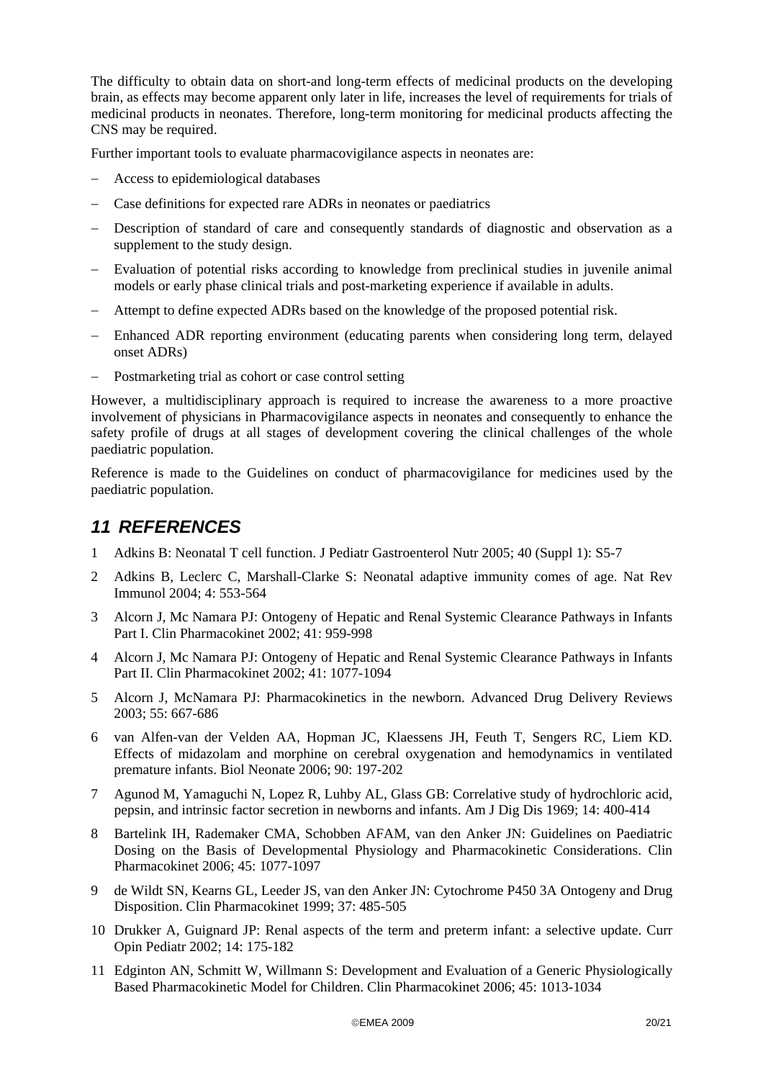<span id="page-19-0"></span>The difficulty to obtain data on short-and long-term effects of medicinal products on the developing brain, as effects may become apparent only later in life, increases the level of requirements for trials of medicinal products in neonates. Therefore, long-term monitoring for medicinal products affecting the CNS may be required.

Further important tools to evaluate pharmacovigilance aspects in neonates are:

- − Access to epidemiological databases
- Case definitions for expected rare ADRs in neonates or paediatrics
- Description of standard of care and consequently standards of diagnostic and observation as a supplement to the study design.
- Evaluation of potential risks according to knowledge from preclinical studies in juvenile animal models or early phase clinical trials and post-marketing experience if available in adults.
- Attempt to define expected ADRs based on the knowledge of the proposed potential risk.
- Enhanced ADR reporting environment (educating parents when considering long term, delayed onset ADRs)
- Postmarketing trial as cohort or case control setting

However, a multidisciplinary approach is required to increase the awareness to a more proactive involvement of physicians in Pharmacovigilance aspects in neonates and consequently to enhance the safety profile of drugs at all stages of development covering the clinical challenges of the whole paediatric population.

Reference is made to the Guidelines on conduct of pharmacovigilance for medicines used by the paediatric population.

## *11 REFERENCES*

- 1 Adkins B: Neonatal T cell function. J Pediatr Gastroenterol Nutr 2005; 40 (Suppl 1): S5-7
- 2 Adkins B, Leclerc C, Marshall-Clarke S: Neonatal adaptive immunity comes of age. Nat Rev Immunol 2004; 4: 553-564
- 3 Alcorn J, Mc Namara PJ: Ontogeny of Hepatic and Renal Systemic Clearance Pathways in Infants Part I. Clin Pharmacokinet 2002; 41: 959-998
- 4 Alcorn J, Mc Namara PJ: Ontogeny of Hepatic and Renal Systemic Clearance Pathways in Infants Part II. Clin Pharmacokinet 2002; 41: 1077-1094
- 5 Alcorn J, McNamara PJ: Pharmacokinetics in the newborn. Advanced Drug Delivery Reviews 2003; 55: 667-686
- 6 van Alfen-van der Velden AA, Hopman JC, Klaessens JH, Feuth T, Sengers RC, Liem KD. Effects of midazolam and morphine on cerebral oxygenation and hemodynamics in ventilated premature infants. Biol Neonate 2006; 90: 197-202
- 7 Agunod M, Yamaguchi N, Lopez R, Luhby AL, Glass GB: Correlative study of hydrochloric acid, pepsin, and intrinsic factor secretion in newborns and infants. Am J Dig Dis 1969; 14: 400-414
- 8 Bartelink IH, Rademaker CMA, Schobben AFAM, van den Anker JN: Guidelines on Paediatric Dosing on the Basis of Developmental Physiology and Pharmacokinetic Considerations. Clin Pharmacokinet 2006; 45: 1077-1097
- 9 de Wildt SN, Kearns GL, Leeder JS, van den Anker JN: Cytochrome P450 3A Ontogeny and Drug Disposition. Clin Pharmacokinet 1999; 37: 485-505
- 10 Drukker A, Guignard JP: Renal aspects of the term and preterm infant: a selective update. Curr Opin Pediatr 2002; 14: 175-182
- 11 Edginton AN, Schmitt W, Willmann S: Development and Evaluation of a Generic Physiologically Based Pharmacokinetic Model for Children. Clin Pharmacokinet 2006; 45: 1013-1034